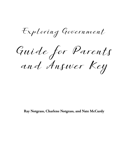Exploring Government

Guide for Parents and Answer Key

**Ray Notgrass, Charlene Notgrass, and Nate McCurdy**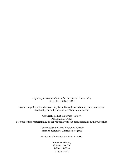*Exploring Government Guide for Parents and Answer Key* ISBN: 978-1-60999-103-6

Cover Image Credits: Man with key from Everett Collection / Shutterstock.com; Red background by ksusha\_art / Shutterstock.com

Copyright © 2016 Notgrass History. All rights reserved. No part of this material may be reproduced without permission from the publisher.

> Cover design by Mary Evelyn McCurdy Interior design by Charlene Notgrass

Printed in the United States of America

Notgrass History Gainesboro, TN 1-800-211-8793 notgrass.com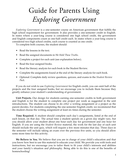# Guide for Parents Using *Exploring Government*

*Exploring Government* is a one-semester course on American government that fulfills the high school requirement for government. It also provides a one-semester credit in English. In states where a year-long course is considered one high school credit, the government and English components count as one-half credit each. In states where a year-long course is considered two high school credits, each course is counted as one credit.

To complete both courses, the student should:

- Read the lessons in the text.
- Read the assigned documents in *We Hold These Truths*.
- Complete a project for each unit (see explanation below).
- Read the four assigned books.
- Read the literary analysis for each book in the Student Review.
- Complete the assignments found at the end of the literary analysis for each book.
- Optional: Complete daily review questions, quizzes, and exams in the *Student Review Pack*.

If you do not wish to use *Exploring Government* for English credit, you can omit half of the projects and the four assigned books, but we encourage you to include them because they greatly enhance your student's understanding of government.

**Unit Projects.** Our design for students earning one-semester credits in both government and English is for the student to complete one project per week as suggested in the unit introductions. The student can choose to do *either* a writing assignment or a project as the parent decides. For students completing the one-semester English credit, we recommend that the student choose the writing assignment at least six times during the semester.

**Time Required.** A student should complete each day's assignments, listed at the end of each lesson, on that day. The actual time a student spends on a given day might vary, but you should allow your student about one hour each day for government and one hour for English. If you are using the *Student Review* material, the work for the last day of each unit should include the unit quiz, which will require a few more minutes that day. Three days in the semester will include taking an exam over the previous five units, so you should allow some more time for this activity.

**We Believe in You.** We believe that you are in charge of your child's education and that you know how best to use this material to educate your child. We provide you with tools and instructions, but we encourage you to tailor them to fit your child's interests and abilities and your family's situation and philosophy. Being able to do this is one of the benefits of homeschooling!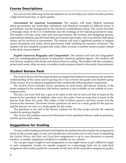### **Course Descriptions**

You can use the following course descriptions as you develop your school records, produce a high school transcript, or report grades.

**Government (or American Government)**. The student will study Biblical teachings about government and leadership, definitions and historical examples of different forms of government, and the background to the American constitutional system. The course provides a thorough study of the U.S. Constitution and the workings of the federal government today. The student will also study state and local government, the revenue and budgeting process, international relations, specific issues that government faces today, and ways that the individual citizen can be involved in government. The student will read a significant number of original source documents and essays about government while studying the narrative of lessons. The student will also complete a project each week, either an essay or another creative project related to the study of government.

**English (American Biography and Composition)**. The student will read two biographies and two autobiographies/memoirs of important American political figures. The student will read literary analysis of the books and discuss them in writing. The student will also complete a project each week, either an essay or another creative project related to the study of government.

### **Student Review Pack**

The *Student Review Pack* has material that you might find helpful for increasing your student's understanding of the course and for giving you a way to know and grade your student's grasp of the content. It is an optional supplement that contains the following three components.

The *Student Review* includes review questions on each lesson and literary analysis of the books assigned in the curriculum (the literary analysis is also available on our website at www. notgrass.com).

The *Quiz and Exam Book* has a quiz to be taken at the end of each unit that is based on the lesson review questions. In addition, after every five units, it has an exam that is based on the quizzes from those five units. This makes a total of fifteen quizzes and three exams over the course of the semester. The lesson review questions can serve as a study guide for the quizzes, and the quizzes can serve as a study guide for the exams.

The questions at the end of the literary analysis for the four books provide the material needed for grading English.

The *Answer Key* contains answers for the lesson review questions, literary analysis questions, and the quizzes and exams.

### **Suggestions for Grading**

To earn credit in both government and English, the student should complete the assignments listed on the second page of each unit introduction and at the end of each lesson (completing the *Student Review* and *Quiz and Exam Book* assignments is up to your discretion as parent/ teacher). A weekly assignment checklist is available on our website.

You can give equal weight to each assignment, or you might choose to give different weight to each component. Grades are usually assigned on a percentage basis for an individual assignment and as letter grades for a semester on the basis of the cumulative assignment grades.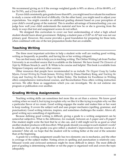We recommend giving an A if the average weighted grade is 90% or above, a B for 80-89%, a C for 70-79%, and a D for 60-69%.

If your child consistently gets grades lower than 60%, you might need to evaluate his readiness to study a course with this level of difficulty. On the other hand, you might need to adjust your expectations. You might consider an additional grading element based on your perception of your child's overall grasp of the material. This is another advantage of homeschooling: you can judge how well your child understands the material and how he or she is growing from the study in ways that test and assignment scores do not reflect.

We designed this curriculum to cover our best understanding of what a high school student should learn about government. Helping a student pass a CLEP or AP test was not our primary goal. However, this course provides a good foundation for preparing for those tests, when combined with one of the test preparation books that are available.

### **Teaching Writing**

The three most important activities to help a student write well are reading good writing, writing as frequently as possible, and having his or her writing critiqued.

You can find many aids to help you in teaching writing. The Online Writing Lab from Purdue University is an excellent source that is available on the Internet. We have found *The Elements of Style* by William Strunk Jr. and E. B. White to be concise and helpful. This book is available from Notgrass Company and many other sources.

Other resources that people have recommended to us include *The Elegant Essay* by Lesha Myers, *Format Writing* by Frode Jensen, *Writing Skills* by Diana Hanbury King, and *Teaching the Essay* and *Teaching the Research Paper* by Robin Finley. The Institute for Excellence in Writing offers comprehensive instructional courses, and Reconciliation Press offers writing instruction services. We offer these as suggestions which you can investigate. We do not endorse one program or publication over another.

### **Grading Writing Assignments**

Teaching writing skills can sometimes feel more like an art than a science. We know good writing when we read it, but trying to explain why we like it is like trying to explain why we like a particular flavor of ice cream. Good writing engages the reader and makes him or her want to keep reading. It covers the subject well and uses proper mechanics (spelling, grammar, and punctuation). Good writing informs, inspires, and sometimes challenges the reader. Above all, good writing says something of significance.

Because defining good writing is difficult, giving a grade to a writing assignment can be somewhat subjective. What is the difference, for example, between an A paper and a B paper? One student might write the best that he or she can, and it still might not be as good as what another student produces with less effort. What grade should you assign to each student's work? In addition, how can the grades you give reflect a student's improvement over the course of a semester? After all, we hope that the student will be writing better at the end of the semester than at the beginning.

A grade for a writing assignment usually has two elements: one is mechanics, and the other is coverage of the subject matter. Noting errors in spelling and punctuation is relatively easy. Misused words and awkward sentences might be more difficult to detect. The most difficult part of grading is determining whether or not the paper is organized well and covers the topic adequately.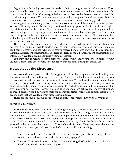Beginning with the highest possible grade of 100, you might want to take a point off for every misspelled word, punctuation error, or grammatical error. An awkward sentence might count two or three points off. A paragraph that does not flow well or have a clear purpose might cost five to eight points. You can also consider whether the paper is well-expressed but has mechanical errors as opposed to its being poorly expressed but mechanically good.

We suggest not giving a grade on the writing assignment until the student submits the final version of the assignment. Use the rough draft as a teaching opportunity. It is fair to have higher expectations later in the course. Also, if a student has numerous mechanical or grammatical errors in a paper, covering the paper with red ink might do more harm than good. Instead, focus on what appear to be the three most serious or common mistakes and don't worry about the rest at that point. When the student has corrected these problems, move on to other problems to correct in later papers.

The website of the College Board, which administers the SAT and CLEP examinations, has an Essay Scoring Guide that its graders use. On their website, you can read this guide and also read sample essays and see why those essays received the scores they did. In addition, the National Assessment of Educational Progress program of the U.S. Department of Education has information available online about its writing assessment.

You may find it helpful to have someone outside your family read one or more of your student's essays and give constructive feedback at some point during the school year.

### **Notes About the Literature**

We scoured many possible titles to suggest literature that is quality and upbuilding and that won't assault your faith or sense of decency. Some of the books we included have words or ideas with which you will be uncomfortable, as we are. We want to let you know about them in case you want to do some editing before your child reads the books or in case you want to substitute another book. You might want a parent to read a book aloud to the student and skip over inappropriate words. However you decide to use them, we believe that the overall impact of these books for good outweighs their use of inappropriate words. The editions listed below are the ones that are available from Notgrass Company.

These are the four books we chose for the English component of *Exploring Government*:

### *Mornings on Horseback*

*Mornings on Horseback* is David McCullough's highly-acclaimed account of Theodore Roosevelt's youth and early adult life. It tells the story of the fascinating and close-knit family into which he was born and the influences that helped him become the man and president he was. The book concludes as Roosevelt is poised to enter politics again in earnest. Roosevelt was a remarkable man and a pivotal character in American history. David McCullough's masterful storytelling helps the reader understand Roosevelt and his times. There are a few elements in the book that we want you to know about before your child begins reading:

- There is a brief description of Theodore's uncle who reportedly had many "lady friends" and had a secret second wife and family (page 22).
- Theodore Roosevelt Sr. visited an Irish regiment during the Civil War and drank with the officers "nearly until dawn" (page 61).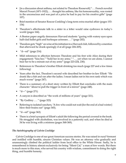- [in a discussion about asthma, not related to Theodore Roosevelt] "... French novelist Marcel Proust (1871-1922), . . . thought his asthma, like his homosexuality, was rooted in the unconscious and was part of a price he had to pay for his creative gifts" (page 107).
- Brief mention of Senator Roscoe Conkling's long-term extra-marital affair (pages 153- 154)
- Theodore's affectionate talk to a sister in a letter would raise eyebrows in today's world (pages 164).
- A Boston paper angrily denounces Harvard students "gazing with watery eyes upon half-clad ballet girls and burlesque actresses . . ." (page 202).
- Theodore gets "high" on wine at his initiation to a Harvard club, followed by a mention that afterward he drank sparingly if at all (page 204-205).
- "d---ed" (page 214)
- Mild references to affection between Theodore and his first wife Alice during their engagement: "kiss her," "hold her in my arms," ". . . yet when we are alone, I cannot bear her to be a minute out of my arms" (page 223-224, 230).
- References to Theodore's brother Elliott drinking too much (page 227 and a few times following)
- Years after the fact, Theodore's second wife described her brother-in-law Elliott: "He drank like a fish and ran after the ladies. I mean ladies not in his own rank which was much worse" (page 247).
- There is a summary of a short story written by Elliott that concludes with the main character "about to pull the trigger in front of a mirror" (page 248).
- $"d--"$  (page 271)
- A canyon is described as "the work of millions of years" (page 321).
- "By Godfrey  $\dots$  " (page 323)
- Referring to isolated ranchers, "A few who could not wait [for the end of a bad winter] blew their brains out" (page 345).
- "d---ed" (page 363)
- There is a brief synopsis of Elliott's adult life following the period covered in the book. He struggled with alcoholism, was involved in a paternity suit, and when he died at 34 he was living with a mistress (pages 368-369).

### *The Autobiography of Calvin Coolidge*

Calvin Coolidge is one of our great American success stories. He was raised in rural Vermont and instilled with humble, sincere Christian values. He was an attorney who gradually and unassumingly climbed the political ladder from local office to the White House. Sadly, he is remembered in history almost exclusively for being "Silent Cal," a man of few words. But there is much more to this man, who served his country with wisdom, commitment to doing the right thing, and humble honesty.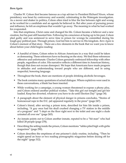### *Born Again*

Charles W. Colson first became famous as a top adviser to President Richard Nixon, whose presidency was beset by controversy and scandal, culminating in the Watergate investigation. As a mover and shaker in politics, Colson often tried to blur the line between right and wrong as he worked for a candidate and an agenda he believed in. But after years of pursuing power and influence, he felt an emptiness that wouldn't go away. The meaning in what he had worked for evaporated.

Into that emptiness, Christ came and changed his life. Colson became a believer and a new creation, but his past still haunted him. Following his conscience at facing up to his past, Colson pled guilty and was sentenced to serve time in prison for wrongs he committed during his tough-guy political past. Through prison, God led him to service in His kingdom. *Born Again* is Colson's memoir of that story. There are a few elements in the book that we want you to know about before your child begins reading:

- A handful of times, Colson refers to African Americans in a way that could be taken as demeaning. These references have no bearing on the story. We find these references offensive and unfortunate. Charles Colson genuinely embraced fellowship with other people, regardless of color. His narrative reflects a different time in American history, though that does not excuse disrespect. We hope that Americans have made progress in attitudes and understanding toward people who are different, and in using respectful, honoring language.
- Throughout the book, there are mentions of people drinking alcoholic beverages.
- The book contains many quotations of actual dialogue. Where expletives were used in these conversations, a blank has been inserted.
- While working for a campaign, a young woman threatened to expose a phony ploy, and Colson ordered another political worker, "Take this girl out tonight and get her loaded. Keep her diverted, whatever you have to do until Election Day" (page 34).
- A paragraph about the element of physical danger in prisons concludes, "Stories of homosexual rape in the D.C. jail appeared regularly in the press" (page 247).
- Colson's friend, after serving a prison term, described for him life inside a prison, including, "A guy once had his skull crushed changing a TV station in the middle of a program" and "I slept on the floor right next to the toilet and one night a dude urinated all over me" (page 265).
- An inmate points out to Colson another inmate, reputed to be a "hit man" who had killed 28 people (page 278).
- Describing the setting inside the prison, Colson mentions "tables piled high with girlie magazines" (page 290).
- Colson describes the emptiness of one prisoner's daily routine, including, "Then he might spend an hour or two reading pornographic magazines before dozing off for the night" (page 312).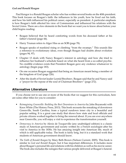### *God and Ronald Reagan*

Paul Kengor is a Ronald Reagan scholar who has written several books on the 40th president. This book focuses on Reagan's faith: the influences in his youth, how he lived out his faith, and how his faith influenced his political career, especially as president. A particular emphasis is how Reagan's faith affected his view of Communism and influenced his relations with the Soviet Union. There are a few elements in the book that we want you to know about before your child begins reading:

- Reagan believed that he heard comforting words from his deceased father at his father's funeral (page 44).
- Harry Truman refers to Alger Hiss as an SOB (page 78).
- Reagan speaks of mankind rising or climbing "from the swamps." This sounds like a reference to evolutionary ideas, even though Reagan had doubts about evolution (pages 94, 97).
- Chapter 13 deals with Nancy Reagan's interest in astrology and how she tried to influence her husband's schedule based on what she heard from a so-called psychic. No credible evidence exists that President Reagan gave any credence whatsoever to astrology (begin page 183).
- On one occasion Reagan suggested that being an American meant being a member of the kingdom of God (page 226).
- After the death of Soviet leader Leonid Brezhnev, Reagan said that he and Nancy said a "prayer for the repose of the soul of Chairman Brezhnev" (page 272).

### **Alternative Literature**

If you choose not to use one or more of the books that we suggest for this curriculum, here are some other titles for you to consider:

- *Reimagining Greenville: Building the Best Downtown in America* by John Boyanoski with Knox White (The History Press, 2013). This book recounts the remaking of downtown Greenville, South Carolina, from a typical rundown inner city to a beautiful and popular setting. It is a great case study that shows how state and local officials and private citizens worked together to bring the renewal about. If you are ever anywhere near Greenville, you will enjoy a visit to experience the transformation yourself.
- *• Democracy in America* by Alexis de Tocqueville (any unabridged edition) is a classic study of American government and society written by a French sociologist after his visit to America in the 1830s. He has amazing insight into American life, much of which is still applicable today. The book is fairly long, but it is a standard work that students of American government should know.
- *• The Faith of Ronald Reagan* by Mary Beth Brown (Nelson Current, 2005). This book is similar to *God and Ronald Reagan*, but it has important differences. It includes more about Reagan's personal life and relations with his children as well as his movie career. The book also includes the eulogies that various people delivered at Reagan's funeral.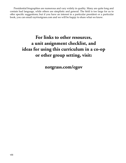Presidential biographies are numerous and vary widely in quality. Many are quite long and contain bad language, while others are simplistic and general. The field is too large for us to offer specific suggestions; but if you have an interest in a particular president or a particular book, you can email ray@notgrass.com and we will be happy to share what we know.

### **For links to other resources, a unit assignment checklist, and ideas for using this curriculum in a co-op or other group setting, visit:**

**notgrass.com/egov**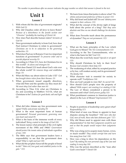*The number in parentheses after an answer indicates the page number on which that answer is found in the text.*

### **Unit 1**

### **Lesson 1**

- 1. With whom did the idea of government originate? *With God (3)*
- 2. Why did Claudius order all Jews to leave Rome? *Because of a disturbance in the Jewish section over "Chrestus" (probably the teaching of Christ) (4)*
- 3. How does Paul describe human rulers? *Servants of God (4)*
- 4. Since government authority is from God, how does Paul instruct Christians to relate to government? *Christians are to be in subjection to the governing authorities. (5)*
- 5. What does Paul say in Romans 13 are two important functions of government? *To preserve order and to provide physical security (5)*
- 6. According to 1 Peter 2:11, how do Christians live in this world? *As aliens and strangers (6)*
- 7. What does Daniel 2:21 teach about God's rule over the whole world? *He removes kings and establishes kings. (5)*
- 8. What did Mary say about rulers in Luke 1:52? *God has brought down rulers from their thrones. (5)*
- 9. When government issued ungodly directives, what did Peter and the apostles say they must do? *We must obey God rather than men (6)*
- 10. According to Titus 2:14, what are Christians to do; and according to Matthew 5:13-16, what are Christians to be? *Zealous for good deeds; salt and light (8)*

### **Lesson 2**

- 1. What did John Adams say free government rests upon? *Public and private morality (9)*
- 2. What is the most important form of human government? *Personal government, governing ones own heart and mind (9)*
- 3. What is the basis of the immense worth of every individual? *Being created in the image of God (10)*
- 4. The lesson names what principle of the civil rights movement of the 1950s and 1960s? *Government should protect the innate value of individuals regardless of race. (10)*
- 5. The Bible says that government leaders have a responsibility to see that the government does what? *What is right and just (10)*
- 6. What did the prophet Amos tell the people of Israel to do? *"Hate evil, love good, and establish justice in the gate." (11)*
- 7. We learn from Amos that justice is above what? *The whims and personal preference of those in power (11)*
- 8. Why did Israel and Judah fall? *Sin and idolatry were rampant in their cultures. (11)*
- 9. What did the concept of the divine right of kings hold about the power of a king? *That they were absolute and thus no one should challenge his decisions (11)*
- 10. What does Proverbs teach about the permanence of dynasties? *They are not permanent. (12)*

### **Lesson 3**

- 1. What are the basic principles of the Law which God gave to Moses? *The Ten Commandments (13)*
- 2. According to the Ten Commandments, who or what is the basis for life? *God (13)*
- 3. What does the word holy mean? *Special or set apart (13)*
- 4. Why should Christians be holy in their lives? *Because God considers them holy (13)*
- 5. The weakening of what, either by accepted practice or by law, will weaken society and its government? *The family (14)*
- 6. What character trait is essential for society to operate well? *Truthfulness (14)*
- 7. How are God's people to view life? *As sacred (14)*
- 8. How should God's people view the property of others? *With respect, not coveting it or stealing it (14)*
- 9. The Law of Moses considered a person to be innocent until what? *Until proven guilty (15)*
- 10. What punishment common in American justice is absent in the Law of Moses? *Imprisonment (15)*

- 1. People in positions of leadership carry great what? *Responsibility (17)*
- 2. What kind of men was Moses to appoint to hear disputes among the Israelites? *"Able men who fear God, men of truth, those who hate dishonest gain" (17)*
- 3. Why did Moses need to appoint men with these characteristics? *So that their judgments would be just and so that the people would respect their judgments (17)*
- 4. Why was a king not to acquire many horses, wives, or much wealth? *They would corrupt him and turn him away from God. (18)*
- 5. How was a king to show his dependence on the Law? *By making his own personal copy of the Law and reading it every day (18)*
- 6. Who was the person described as the "man after God's own heart"? *David (18)*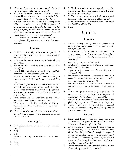- 7. What does Proverbs say about the mouth of a king? *His mouth should not err in judgment.(19)*
- 8. What does Proverbs say about the influence that a king and his advisers can have on each other? *Each can be an influence for good or evil on the other. (20)*
- 9. In what ways does Ezekiel say that the shepherds of Israel had failed their sheep? *The shepherds had fed themselves instead of the flocks, they had taken the best of everything for themselves and ignored the needs of the sheep, and for lack of leadership the sheep had scattered and become victims of attackers. (21)*
- 10. If you were a governmental leader, what Biblical principles would you use in your position? *Answers will vary.*

- 1. As best we can tell, what was the pattern of government in the ancient world? *Local kings ruling over city-states (23)*
- 2. What was the pattern of community leadership in Israel? *Elders (23)*
- 3. Whom did God want to rule over Israel? *God Himself (24)*
- 4. How did God plan to provide leaders for Israel? *He would raise up judges when they were needed.(24)*
- 5. What motivated the Israelites' desire for a king to rule over them? *To be like the nations around them (25)*
- 6. What revolt gave the Jews a measure of freedom and self-government? *The Maccabean Rebellion (26)*
- 7. Of the three branches of government (legislative, executive, and judicial), which did the Sanhedrin fulfill? *All three (27)*
- 8. From where did the members of the Jewish Sanhedrin come? *From prominent families (27)*
- 9. Why were the leading officials of Philippi deferential to Paul and Silas? *They were Roman citizens. (28)*
- 10. Who blamed Christians for the great fire in Rome in 64 AD and began active persecution of the church? *Nero (29)*

### **Unit 1 Quiz**

- 1. F The idea of human government originated with God. *(3)*
- 2. T *(5)*
- 3. T *(9)*
- 4. F Sin and idolatry caused Israel and Judah to fall. *(11)*
- 5. T *(13)*
- 6. T *(15)*
- 7. F The king was to show his dependence on the law by making his own personal copy of the Law and reading it every day *(18)*
- 8. F The pattern of community leadership in Old Testament Judah and Israel was elders. *(23-24)*
- 9. F The ruler that God wanted to have over Israel was God Himself. *(24-25)*
- 10. T *(27)*

### **Unit 2**

### **Lesson 6**

- 1. state—*a sovereign country which has people living within a defined territory and which has power to make and enforce laws (33)*
- 2. government—*the institutions and laws, along with the people who make up the institutions and who enforce the laws, which have authority to direct and control a state (33-34)*
- 3. sovereignty—*supreme authority (34)*
- 4. dictatorship—*a government in which one person leads and his word is final (34)*
- 5. oligarchy—*a government in which a small group of people leads (34)*
- 6. constitutional monarchy—*a government that has a monarchy but that also has a constitution or laws that are sovereign over the monarchy (34)*
- 7. republic—*a government with elected representatives and no monarch in which the voters have sovereignty (35)*
- 8. democracy—*government by all of the people (or all who can vote), all of whom take part in passing laws and carrying out other functions of government (35)*
- 9. state religion—*a religion or denomination that is the official religion of a state and has certain privileges (37)*
- 10. limited government—*government that is allowed by law or constitution only to perform specifically prescribed powers (38)*

- 1. Throughout history, who has been the most common head of government for almost every culture and ethnic group? *A king (40)*
- 2. List five ways in which a man became a king. *A wealthy man might be deferred to as ruler by others who lived near him; a military hero might be recognized as a king by his fellow warriors; a wealthy man might buy the services and loyalty of other lords; sometimes a person seized control by force; tribal leaders might select one of their group as king.(40)*
- 3. What was commonly demonstrated by the amount of land a king owned? *His power (41)*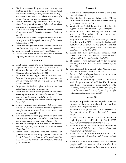- 4. List four reasons a king might go to war against another land. *To get more land; to acquire additional food, natural resources, or living area; because his people saw themselves as superior to others; and because of a perceived insult from another monarch (41)*
- 5. Who made up the king's council of advisers? *People whom the king considered wise or influential and whom he trusted to give him advice (41)*
- 6. With what two things did lords and barons support a king they trusted? *Financial assistance and military aid (42)*
- 7. What individual was a major influence on kings during the Middle Ages? *The pope of the Roman Catholic Church (42)*
- 8. What was the greatest threat the pope could use to influence a king? *Threat of excommunication (42)*
- 9. Who was usually a king's heir? *His eldest son (43)*
- 10. Would you want to be an absolute monarch? Explain your answer. *Answers will vary.*

- 1. What ancient Greek city-state developed the form of government we call democracy? *Athens (44)*
- 2. What was the name of the law-making meeting of Athenian citizens? *The Assembly (44)*
- 3. What was the meaning of the Greek word *idiotes* from which we get our word idiot? *Someone who kept to himself and did not participate in civil and political life (44)*
- 4. In general, individual rights in Athens had less value than what? *The public good (45)*
- 5. What was the result of the practice of Athenians selecting leaders by lot? *It kept the same people from holding power for a long period of time. (46)*
- 6. What was the ruling body in the Roman Republic? *Senate (47)*
- 7. Define patrician and plebeian. *Patricians were wealthy landowners in Rome and its environs; plebeians were farmers, artisans, small merchants, traders, and other working people.* (47-48)
- 8. How did plebeians change government over time in the Roman Republic? *The plebeian class demanded and received increasing power and influence. (48)*
- 9. The Senate's recognition of whom as emperor is seen as beginning the Roman Empire? *Octavian (Augustus) (49)*
- 10. Rather than ensuring popular control of government, what was the purpose of the Roman Senate? *To protect the interests of the wealthy and to make sure that the patrician class maintained control of government (49)*

#### **Lesson 9**

- 1. What was a witenagemot? *A council of nobles and church leaders (50)*
- 2. How did English government change after William of Normandy invaded in 1066? *Norman forms of government were imposed (51)*
- 3. What did the English barons force King John to sign in 1215? *Great Charter or Magna Carta (51)*
- 4. What did the council meeting that was formed when Henry III repudiated this agreement come to be called? *Parliament (51)*
- 5. Why do historians refer to the meeting called by King Edward I in 1295 as the Model Parliament? *Because it set the pattern for two groups—lords and commons—that came together to meet with, advise, and sometimes oppose the king (52)*
- 6. Where did most government functions that affected most of the people take place in the 1630s in England? *At the county or shire level (53)*
- 7. The theory of royal authority believed in by James I of England was called the what? *Divine right of kings (53)*
- 8. Who abolished the monarchy after Charles I was executed in 1649? *Oliver Cromwell (55)*
- 9. In effect, Robert Walpole began to serve in what role in 1721? *Prime minister (55)*
- 10. What three things did English colonists in America see in the government of the United Kingdom that they did not want to repeat in America? *Instability of royalty, harmful role that religion could play in political conflicts, and how everyday people got caught in the middle of factional disputes (56)*

- 1. What philosophical movement helped to mold the thinking of the men who shaped our American system? *The Enlightenment (57)*
- 2. What did the Enlightenment exalt as the best basis for understanding life and the world? *Human reason (57)*
- 3. Scholars see the period of the Enlightenment beginning with the publication of what in 1687? *Isaac Newton's* Mathematical Principles *(57)*
- 4. What did Enlightenment writers start questioning about kings? *Whether kings had a divine and unquestioned right to rule. (57)*
- 5. What term did John Locke use to describe how people associate with each other? *A social contract (58)*
- 6. What did John Locke believe was the reason people decided to associate with each other in a social contract? *To preserve their God-given rights,*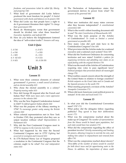*freedoms, and possessions (what he called life, liberty, and property) (58)*

- 7. What kind of government did Locke believe produced the most freedom for people? *A limited government with checks and balances on its powers (58)*
- 8. What did Locke say that people have a right to do if government threatens their rights? *To change their government (59)*
- 9. Baron de Montesquieu wrote that government should be divided into what three branches? *Executive, legislative, and judicial (59)*
- 10. How do you believe the Enlightenment fostered the idea of "self-evident truths"? *Answers will vary.*

### **Unit 2 Quiz**

| 1. $d(34)$    | 6. $d(47)$     |
|---------------|----------------|
| 2. $a(34)$    | 7. a (50)      |
| 3. $c(40)$    | 8. c (51)      |
| 4. $b(42-43)$ | 9. b(53)       |
| 5. $b(45)$    | 10. $d(58-59)$ |
|               |                |

### **Unit 3**

### **Lesson 11**

- 1. What were three common elements of colonial government? *A governor, a small council of advisers, and an elected assembly (63)*
- 2. Who chose the elected assembly in a colony? *Property-owning males (63)*
- 3. How did George III respond after the French and Indian War? *With more taxes and a more oppressive presence in the colonies (64)*
- 4. Why was the New England Confederation formed in 1643? *To defend against Indian attacks (64)*
- 5. What was the purpose of the Albany meeting in 1754? *To encourage greater unity among the British colonies (64)*
- 6. When colonial representatives met in New York in October 1765, they protested what they saw as unjust taxation without what? *Representation in Parliament (65)*
- 7. Why did the First Continental Congress meet in 1774? *In response to the Coercive Acts (65)*
- 8. What had happened by the time the Second Continental Congress met in 1775? *Fighting had occurred in Lexington and Concord (65)*
- 9. In 1776 Richard Henry Lee of Virginia proposed a resolution in the Continental Congress that the colonies ought to be what? *Free and independent states (65)*

10. The Declaration of Independence states that government derives its power from what? *The consent of the governed (66)*

### **Lesson 12**

- 1. What new institution did many states convene after they became independent? *A constitutional convention (68)*
- 2. What is the world's oldest founding document still in use? *The state Constitution of Massachusetts (69)*
- 3. What was the main purpose of the Articles of Confederation? *To create as limited a central government as possible (69)*
- 4. How many votes did each state have in the Confederation Congress? *One (69)*
- 5. What provision did the Articles make for a national executive and a national court system? *None (69)*
- 6. What did the Northwest Ordinance do concerning territories and new states? *Establish a pattern for organizing territories and admitting new states on an equal footing with the original thirteen (70)*
- 7. What was the result of the Articles of Confederation requiring nine votes to pass significant laws? *Political paralysis that prevented almost all meaningful change (70)*
- 8. What realities caused concern about the strength of the United States in relation to foreign countries? *British outposts on the Great Lakes and in Canada and the Spanish presence in the south (70)*
- 9. What meeting proposed a revision of the Articles? *Annapolis Convention (71)*
- 10. Where did most Americans want political power to remain? *At the state and local levels (71)*

- 1. In what year did the Constitutional Convention meet? *1787 (72)*
- 2. What policy did the delegates follow regarding publicity? *They agreed to keep their deliberations secret. (72)*
- 3. What was the compromise reached about the make-up of Congress? *The number of representatives from the House would be based upon population, but each state would have two senators (73)*
- 4. What did the compromise regarding the office of president involve? *Strictly enumerating and limiting his powers, allowing Congress to override his veto, and making him subject to impeachment and removal from office (74)*
- 5. What was the compromise reached about slavery? *Three-fifths of the number of slaves would be counted for both direct taxes and for apportioning seats in the House. In addition, the importation of slaves could*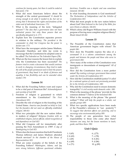*continue for twenty years, but then it could be ended at that point. (74)*

- 6. What did most Americans believe about the strength of the central government? *It should be strong enough to do what it needed to do, but not so strong that it threatened the rights and freedoms of the states and of individual Americans. (75)*
- 7. What is the meaning of the term "delegated powers"? *The idea that a government does not have unlimited powers but only those powers that are specifically delegated to it. (77)*
- 8. Explain how the Constitution separates powers in relation to the military. *The president is the commander in chief, but Congress has the power to declare war. (77)*
- 9. What have the newspaper articles James Madison, Alexander Hamilton, and John Jay wrote to encourage that the Constitution be adopted come to be called? *The Federalist* or *The Federalist Papers* (78)
- 10. What are the four reasons the lesson lists to explain why the Constitution has been successful? *The framers tried to create a document that would continue to work in changing circumstances; they tried to make the will of the people paramount and to limit the powers of government; they based it on ideals of fairness and equality; it has flexibility and can be amended when needed. (79)*

#### **Lesson 14**

- 1. What did the Founding Fathers want and expect to be a vital part of American life? *Acknowledgment and worship of God (80)*
- 2. Freedom of religion is guaranteed in which amendment to the Constitution? *The First Amendment (81)*
- 3. Describe the role of religion in the founding of the United States. *America was founded on belief in God, but the founders did not want an officially established religion. (80-81)*
- 4. What two principles did the new nation follow in matters of religion? *Religious freedom with no established religion, and an official, stated recognition of and dependence on God (82)*
- 5. What did Congress call for immediately after passing the First Amendment in 1789? *A day of thanksgiving to God (82)*
- 6. Where does the lesson mention that both Presidents Thomas Jefferson and James Madison attended church services? *In the chamber of the House of Representatives (82)*
- 7. What are some examples of the beliefs of the Founding Fathers? *Washington, Adams, and Jay were strong believers; Jefferson questioned orthodox*

*doctrines; Franklin was a skeptic and was sometimes immoral. (83-84)*

- 8. In what founding documents is God mentioned? *The Declaration of Independence and the Articles of Confederation (82)*
- 9. What did most people in the new nation believe about God? *Most believed in the God of the Bible; few were Deists or atheists. (84-85)*
- 10. Which colony did Rogers Williams found with the purpose of having more complete religious liberty? *Rhode Island (83-84)*

### **Lesson 15**

- 1. The Preamble of the Constitution states that American government begins with whom? *The people (86)*
- 2. How does the Preamble express the idea of a covenant? *It is a solemn commitment among the people and between the people and those who serve in government.(86)*
- 3. How many of the writers of the Constitution were immigrants or descendants of immigrants? *All of them (87)*
- 4. How did the Constitution form a more perfect union? *By creating a stronger government than existed under the Articles of Confederation (87)*
- 5. How did the Constitution establish justice? *It called for a national system of courts not previously provided for in the Articles of Confederation. (88)*
- 6. Why did the Constitution need to ensure domestic tranquility? *A civil society needs domestic order. (88)*
- 7. What is the meaning of the phrase "provide for the common defense"? *Defense of the homeland (88)*
- 8. What is the meaning of the phrase "the general welfare"? *What will help the people as a whole, not specific groups (89)*
- 9. What two specific applications have been made of the Preamble's reference to "our posterity"? *To suggest that abortion affects our posterity, and to encourage wise environmental policy (89)*
- 10. The people of one generation have what responsibility to those who come after them? *Answers can vary, but the lesson mentions to teach, guide, and bless them. (90)*

### **Unit 3 Quiz**

| 1. $f(65)$  | 6. j $(73)$ |
|-------------|-------------|
| 2. b $(65)$ | 7. c (78)   |
| 3. i (69)   | 8. h (81)   |
| 4. a (69)   | 9. d $(86)$ |
| 5. e (71)   | 10. $g(89)$ |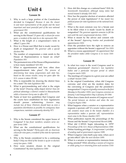### **Unit 4**

### **Lesson 16**

- 1. Why is such a large portion of the Constitution devoted to Congress? *Because it was the closest to and most representative of the people and the most important and most powerful part of the new national government (93)*
- 2. What are the constitutional qualifications for serving in the House? *25 years old, a citizen for seven years, a resident of the state he or she represents (94)*
- 3. What is the length of a congressman's term in office? *2 years (94)*
- 4. How is a House seat filled that is made vacant by death or resignation? *The governor calls a special election (94)*
- 5. The number of congressmen a state sends to the House of Representatives is based on what? *Population (95)*
- 6. The permanent size of the House of Representatives is how many members? *435 (95)*
- 7. What is apportionment and how often does reapportionment take place? *The process of determining how many congressmen each state has, based on the census results; every ten years after the U.S. census is taken (95-96)*
- 8. Who is responsible for drawing the district lines for a state? *The state legislature (96)*
- 9. What is gerrymandering and what is the origin of the term? *Drawing oddly-shaped district lines for political advantage; a district created in Massachusetts while a Governor Gerry was in office (97)*
- 10. Name at least two guidelines that Congress and the courts have established for how legislatures should pursue redistricting. *Answers may include two of these: Districts should have as even a population distribution as possible; be contiguous; have compactness; maintain community identity (97)*

### **Lesson 17**

- 1. Why is the Senate considered the upper house of Congress? *It has fewer members; senators serve sixyear terms (100)*
- 2. What are the constitutional qualifications for serving in the Senate? *Thirty years old, an American citizen for nine years, a resident of the state he represents (100)*
- 3. Why is the Senate considered to be a continuing body? *Only one-third of the Senate is up for re-election every two years. (100)*
- 4. How were senators chosen in the original Constitution? *By state legislatures (100)*
- 5. How did this change on a national basis? *With the Seventeenth Amendment, although many states had moved toward it already (101-102)*
- 6. How has the popular election of senators affected the power of state legislatures? *It has meant less political power for state legislatures at the national level. (102)*
- 7. What is the most common way for a Senate seat to be filled when it is made vacant by death or resignation? *The governor appoints someone to fill the seat until the next congressional election. (102)*
- 8. What is meant by the advice and consent role of the Senate? *Approving treaties and presidential appointments (103)*
- 9. Does the president have the right to remove an appointee without the Senate's approval? *Yes (103)*
- 10. What is a recess appointment? *An appointment that the president makes while Congress is in recess (103- 104)*

- 1. In what two ways is the word Congress used in American government? *America's two legislative bodies and a particular two-year period in which Congress meets (105)*
- 2. The meetings of Congress in a given year are called a what? *Session (105)*
- 3. In the original Constitution, when did Congress convene; and what are the modern dates for the convening of Congress and the president's inauguration? *Congress originally convened on the first Monday in December (105); now Congress convenes on January 3 and Inauguration Day is January 20 (106)*
- 4. When does a lame duck session of Congress occur? *The period between an election and when the new Congress begins (106)*
- 5. What happens when a senator or a representative requests a quorum call? *If a senator makes a quorum call, senators must come to the Senate chamber; if a representative makes a quorum call, representatives must come to the House chamber.(107)*
- 6. What publication reports the proceedings of the House and the Senate? *Congressional Record* (108)
- 7. What did C-SPAN begin telecasting in 1979? *Proceedings of the U.S. House of Representatives (108)*
- 8. Define franking privilege. *A congressman's privilege of sending mail at government expense (109)*
- 9. When Congress votes itself a pay raise, when can it go into effect? *After the next election (109)*
- 10. When is a senator or representative immune from being arrested? *While attending a session of Congress or while going to or returning from such sessions (110)*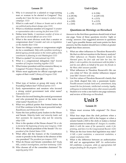- 1. Why is it unusual for a salaried or wage-earning man or woman to be elected to Congress? *They usually don't have the time or money to conduct a long campaign. (112)*
- 2. What is a safe seat? *A House or Senate seat in which one political party almost always wins (113)*
- 3. What is a freshman member of Congress? *A senator or representative who is serving his first term (113)*
- 4. Define term limits. *A maximum number of terms or years that an elected official can serve (113)*
- 5. What is the most obvious work that a senator or congressman does? *Consider and vote on legislation on the chamber floor (114)*
- 6. Name two things a senator or congressman might do for a constituent. *Help with a problem involving a federal agency; provide passes to the visitor gallery if the constituent is planning to visit Washington (115)*
- 7. What is a junket? *An international trip (115)*
- 8. What is a congressional delegation trip? *Several members of Congress traveling together (115)*
- 9. What former president sold his extensive library to Congress? *President Thomas Jefferson (116)*
- 10. Where must applicants for official copyright send copies of their work? *Library of Congress (116)*

### **Lesson 20**

- 1. What type of faction or group did many of the Founding Fathers fear? *Political parties (117)*
- 2. Early representatives and senators who favored a strong central government took what name? *Federalists (117)*
- 3. Those who favored limiting the central government and who promoted the power of the states took what name? *Republicans 117)*
- 4. What two political parties that formed before the Civil War continue to be the most powerful today? *Republicans and Democrats (118)*
- 5. Name the four political party leaders in the House and Senate. *Majority leader and minority leader and their assistants the majority whip and the minority whip (118)*
- 6. How is the speaker of the House chosen? *He or she is elected at the beginning of every new Congress. (118)*
- 7. Who is the official president of the Senate? *The vice president of the United States (119)*
- 8. What office did the framers of the Constitution create to preside in the Senate in the absence of the vice president? *The president pro tempore (119)*
- 9. What do House and Senate committees do? *Study bills, conduct investigations, and hear testimony. (120)*
- 10. Who chooses all of the committee chairmen? *The majority party (122)*

### **Unit 4 Quiz**

| 1. c $(95)$    | 6. b $(106)$   |
|----------------|----------------|
| 2. b $(95-96)$ | 7. d (109-110) |
| 3. d $(97)$    | 8. c (113)     |
| 4. a $(100)$   | 9. a $(115)$   |
| 5. c $(103)$   | 10. c $(119)$  |

### **Questions on** *Mornings on Horseback*

Answers to the first three questions should total at least one page. None of these questions involve "right or wrong" answers. Our suggested answers to questions 1 and 3 give possible themes and main points for their answers, but the student should have written at greater length than these answers.

- 1. What are other influences in Theodore Roosevelt's life that we did not mention in the literary analysis? *Other influences on Theodore Roosevelt include: his Harvard years; his first wife and later her loss; his father's role in politics; his involvement with his father's and his own efforts on behalf of the poor; his friends in the West; other answers possible*
- 2. What influences in Theodore Roosevelt's life can you relate to? How do similar influences impact your life? *Answers will vary.*
- 3. List five values of Theodore Roosevelt's family that you think shaped him into a passionate leader. *Possible answers include: hard work, commitment, duty toward the less fortunate, intellectual curiosity, loyalty, willingness to initiate/take action; other answers possible*
- 4. Student is to write a one-half to one page summary and review of *Mornings on Horseback.*

### **Unit 5**

- 1. Where must revenue bills originate? *The House (125)*
- 2. What four steps does the clerk perform when a representative puts a bill in the hopper or when a senator hands a bill to the clerk or makes a formal announcement to introduce it? *Assigns it a number, labels it with the name of the sponsor(s), sends it for printing, and lists it in the Congressional Record. (125)*
- 3. What are the four forms that legislation may take? *A bill, a joint resolution, a concurrent resolution, a simple resolution (126)*
- 4. What is the difference between an authorization bill and an appropriation bill? *An authorization bill establishes a program, while an appropriation bill assigns funding for the program. (126)*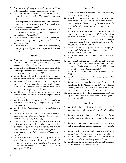- 5. Give two examples of programs Congress considers to be mandatory. *Social Security, Medicare (127)*
- 6. Who has the most power in deciding which bills a committee will consider? *The committee chairman (127)*
- 7. What happens in a markup session? *Committee members go over every aspect of a bill and mark it up with proposed changes. ((128)*
- 8. What does it mean for a bill to be "voted out"? *A majority of a committee has approved it and it goes to the entire House or Senate (128)*
- *9. Who are lobbyists and what do they do? Lobbyists are representatives of groups. They seek to influence laws and policies. (128)*
- 10. If you could work as a lobbyist in Washington, what group would you want to represent? *Answers may vary.*

- 1. Name three ways that one of the houses of Congress can vote on a bill. *Voice vote, physically go to different sides of he chamber, roll call ( 131)*
- 2. When either the House or the Senate passes a bill, what happens next? *It goes to the other chamber where the entire process begins again. (133)*
- 3. Where does a bill go if the second chamber makes any amendments to it? *A conference committee (133)*
- 4. What is a conference committee and what happens there? *A conference committee is made up of members of both houses. They come up with a final version which must be voted on again by both houses. (133)*
- 5. What happens when a bill passes in the same form in both the House and the Senate? *Congress sends it to the president. (133)*
- 6. What is a filibuster? *An attempt by a minority of senators to delay action by holding the Senate floor and talking (133)*
- 7. What is cloture? *A rule that allows for a vote to end a debate (134)*
- 8. What is an unfunded mandate? *A law that requires states and localities to do something but does not provide funds for them to carry it out (135)*
- 9. How do political observers use the terms right and left when describing citizens who are conservative or liberal? *A person who is conservative and defends traditional ways is said to be on the right; a person who favors change from traditional ways is said to be on the left (135)*
- 10. What are the three options that a president has when Congress passes a bill and sends it to him? *(1) To sign it, (2) to veto it and return it to Congress, (3) a pocket veto, which is to hold it for ten days without signing it (135-136)*

### **Lesson 23**

- 1. What are duties and imposts? *Taxes on items being imported into the country (137)*
- 2. Give three examples of items an American may have to pay an excise tax on when they purchase them. *Answers will vary but may include: tobacco, the manufacture of alcoholic beverages, jewelry, expensive boats (137-138)*
- 3. What is the difference between the terms annual budget deficit and national debt? *When the federal government spends more than it takes in through revenues in a given year, this creates an annual budget deficit; the accumulation of deficits over the years has created the national debt. (139)*
- 4. In what realms is Congress authorized to regulate commerce? *With foreign nations, among the states, and with Indian tribes (139)*
- 5. What body has the power to declare war? *Congress (139)*
- 6. Why must military appropriations last no more than two years? *The framers of the Constitution did not want to fund a standing army that could be a threat to domestic or international peace (140)*
- 7. What are state militias now called? *National Guard (140)*
- 8. What federal district does Congress govern? *The District of Columbia (141)*
- 9. What major role has the Supreme Court played in relation to the "Necessary and Proper" clause? *Deciding whether laws Congress has passed are within the bounds of its constitutional authority. (142)*
- 10. Who makes up the federal bureaucracy? *Unelected officials and employees who work in the federal government (142)*

- 1. What did the Constitution forbid before 1808? *Congress could not ban the slave trade before 1808. (143)*
- 2. What is a writ of habeas corpus? *A statement by an arresting authority telling why a person is being held (144)*
- 3. What president suspended writs of habeas corpus in the name of maintaining order? *Abraham Lincoln (144)*
- 4. What is a bill of attainder? *A law that declares a person to be guilty without giving him a trial (144)*
- 5. What is an ex post facto law? *A law declaring an act to be a crime after it has already happened (144)*
- 6. What amendment changed the taxes that Congress could impose? *Sixteenth Amendment (144)*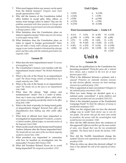- 7. What must happen before any money can be spent from the federal treasury? *Congress must enact specific appropriations (145)*
- 8. Why did the framers of the Constitution forbid office holders to accept gifts, titles, offices, or money from foreign rulers or states? *They saw the problems associated with these practices in Europe and they wanted those in government not to become beholden to foreign powers. (145)*
- 9. What limitation does the Constitution place on states in regard to money? *States may not coin money or print paper money (145)*
- 10. What limitation does the Constitution place on states in regard to foreign governments? *States may not make a treaty with a foreign government, or engage in war (unless invaded or threatened by a foreign power and then only until the national government can respond). (145)*

- 1. What does the term impeachment mean? *To accuse of wrongdoing (147)*
- 2. The Constitution's framers were familiar with the impeachment found where? *The British Parliament (147)*
- 3. What is the role of the House in an impeachment case? *The House brings articles of impeachment by a simple majority vote. (148)*
- 4. What is the role of the Senate in an impeachment case? *The Senate sits as the jury in an impeachment trial. (148)*
- 5. What does the phrase "high crimes and misdemeanors" mean? *This is a matter of debate. Some say it means any indictable offense, while others say it means wrongdoing specifically related to the office being held. (148)*
- 6. What is the limit of penalty for being found guilty of impeachment charges? *Removal from office and disqualification from holding any other public office (148)*
- 7. What kind of officials have been impeached or investigated for impeachment? *Presidents, a senator, a Cabinet member, federal judges, an associate justice of the Supreme Court (148)*
- 8. What was the result when the Senate tried President Andrew Johnson after the House impeached him? *The Senate fell one vote short of the two-thirds majority needed to convict him. (150)*
- 9. What president was impeached in connection with how he handled an investigation into his immorality? *President Bill Clinton (150)*
- 10. What did President Richard Nixon do to avoid being impeached? *He resigned as president. (151)*

### **Unit 5 Quiz**

| 1. $f(125)$       | 6. b $(139)$ |
|-------------------|--------------|
| 2. $e(126)$       | 7. i (139)   |
| 3. $\dot{1}(126)$ | 8. $g(144)$  |
| 4. a (133)        | 9. $c(150)$  |
| 5. $h(133)$       | 10. $d(148)$ |
|                   |              |

### **First Government Exam — Units 1-5**

| 1. $d(11)$       | 7. $f(15)$  | 13. $m 45$   | 19. $o(125)$ |
|------------------|-------------|--------------|--------------|
|                  |             |              |              |
| 2. $g(100)$      | 8. $c(103)$ | 14. s (40)   | 20. $q(86)$  |
| 3. $\dot{1}(71)$ | 9. e (95)   | 15. $t(65)$  | 21. $w(9)$   |
| 4. $a(3)$        | 10. $h(65)$ | 16. $r(126)$ | 22. $y(13)$  |
| 5. $b(81)$       | 11. $n(53)$ | 17. $k(34)$  | 23. u (150)  |
| 6. $i(106)$      | 12. $p(51)$ | 18. 1 (139)  | 24. v (119)  |
|                  |             |              | 25. $x(133)$ |

### **Unit 6**

- 1. What are the qualifications in the Constitution for becoming president? *Thirty-five years old, a natural born citizen, and a resident in the U.S. for at least fourteen years (155)*
- 2. What is the difference between a primary and a caucus? *Primaries are statewide elections overseen by state election officials; caucuses are local meetings overseen by a political party. (156)*
- 3. Who is appointed at state conventions? *Delegates to the national party conventions (156)*
- 4. What two main things are decided upon at a national party convention? *A party platform and nominee for president and vice president (156-157)*
- 5. What is the intended purpose of the Presidential Campaign Fund? *To limit the influence of money in presidential campaigns (157)*
- 6. What was the original plan for how the electoral college was to work? *Each elector was to vote for two people. The person who got the most votes would be president; the person with the second-highest total would become vice president. (158)*
- 7. How did the 1800 election show the weakness of this approach? *Jefferson and Burr got the same number of votes, even though Burr was the vice presidential candidate. The House had to decide the election. (158- 159)*
- 8. How did the Twelfth Amendment change the system? *Electors vote separately for president and vice president.(159)*
- 9. What do critics say about the electoral college? *At times it has defeated the will of the majority of voters. (161)*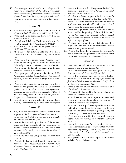10. What do supporters of the electoral college say? *It maintains the importance of the states; it can provide a clear winner even if no candidate receives a majority of votes; it maintains the two-party system and usually prevents third parties from influencing the election. (161)*

### **Lesson 27**

- 1. What is the average age of a president at the time of taking office? *About 54 years and 11 months (162)*
- 2. What fraction of presidents have served in the military? *About half (163)*
- 3. What phrase did George Washington add when he took the oath of office? *"So help me God" (164)*
- 4. What was the salary set for the president as of 2016? *\$400,000 per year (165)*
- 5. About how often between 1841 and 1963 did a president die in office? *About every twenty years (166)*
- 6. What was a big question when William Henry Harrison died and John Tyler took the office? *Was Tyler really president or only acting president? (167)*
- 7. Who is next in the line of succession after the vice president? *Speaker of the House (167)*
- 8. What prompted adoption of the Twenty-Fifth Amendment in 1967? *The death of John Kennedy and a vacancy in the vice presidency for fourteen months. (167)*
- 9. What provision does this amendment have for a president being disabled? *The president can notify the speaker of the House and the president pro tempore of the Senate; or the vice president and a majority of Cabinet heads can notify them. If there is any disagreement, Congress must decide the issue. (168)*
- 10. How often has a vice presidential vacancy been filled by a nomination by the president? *Twice (168)*

### **Lesson 28**

- 1. Why is civilian oversight of the U.S. armed forces important? *So that a powerful standing army is not answerable only to itself and in a position to compete with the civil government. (169)*
- 2. How is the war-making authority of the federal government an example of the separation of powers? *Congress has the power to declare war, but the operation of the armed forces is under the oversight of the president. (169)*
- 3. How many times has Congress declared war? *Five times (169)*
- 4. What did the Tonkin Gulf Resolution authorize the president to do? *To use military force to support South Vietnam and other countries with whom the U.S. had treaty obligations (170)*
- 5. In recent times, how has Congress authorized the president to deploy troops? *Authorizations for Use of Military Force (AUMF) (170)*
- 6. What law did Congress pass to limit a president's ability to deploy troops? *The War Powers Act (170)*
- 7. What U.N. action prompted President Truman to send American troops into Korea in 1950? *A United Nations Security Council resolution* (172)
- 8. What was significant about the targets of attack authorized by the passing of the AUMF in 2001? *For the first time, a congressional resolution named organizations and persons in addition to nations as legitimate targets of attack. (173)*
- 9. What are two types of documents that a president might sign with leaders of other countries? *Treaties and executive agreements (174)*
- 10. What is the term that describes the president's role in carrying on diplomatic relations with other countries? *Head of state or chief of state (173)*

- 1. How many federal civilian employees work in the executive branch? *Over 2.66 million* (175)
- 2. Once Congress establishes a program is it easy or difficult to end it? *Extremely difficult (176)*
- 3. How is the Pendleton Civil Service Act a doubleedged sword? *It protects federal employees from being fired for political reasons, but also makes it difficult to fire them for incompetence. (176)*
- 4. What is the size of the president's personal and official staff? *About 4000 (176)*
- 5. Which president created the Executive Office of the President? *Franklin Roosevelt (176)*
- 6. What three-member panel reports, reviews, and makes recommendations about the economy? *Council of Economic Advisers (177)*
- 7. What body, made up of the vice president and some Cabinet officers, advises the president on foreign relations and other matters regarding safety for our country? *National Security Council (177)*
- 8. What tool can a president use to implement an agenda without waiting for Congress? *Executive order (178)*
- 9. How might a president's agenda affect the way federal laws are executed? *Federal laws that pertain to a president's agenda might take priority with increased enforcement, while enforcement of other laws might be lessened. (179)*
- 10. What power of the president might be considered judicial? *Presidential pardon (180)*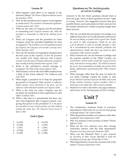- 1. What happens when there is no majority in the electoral college? *The House of Representatives selects the president. (181)*
- 2. How do the president and Congress work together to create laws? *The president recommends legislation. Congress passes laws. (181)*
- 3. What are the roles of Congress and the president in concerning war? *Congress declares war, while the president is commander in chief of the military forces (181)*
- 4. What can Congress and the president do when Congress sends the president legislation he does not approve? *The president can veto legislation passed by Congress, but Congress can override a veto by a twothirds majority. (181)*
- 5. How has the initiative for legislation changed since the first years of the country? *At first the president was satisfied with simply enforcing what Congress enacted. From the time of Theodore Roosevelt, presidents have usually actively promoted their agenda. (182)*
- 6. What is the president's annual message to Congress? *The State of the Union address (183)*
- 7. What historic event in the mid-1800s resulted from a State of the Union address? *The California gold rush (183)*
- 8. What might a president do to help his proposals get passed in Congress? *Make speeches to influence public opinion, issue statements to the press, use his influence with individual members of Congress (184)*
- 9. What is the term for when Congress and the president are hardened in their opposition to each other? *Gridlock (185)*
- 10. What is the idea of a presidential line-item veto and what happened after Congress passed a law giving that power to the president? *It is the power of a president to veto certain portions of a law without vetoing the entire law. The Supreme Court struck it down. (186)*

### **Unit 6 Quiz**

| 1. b $(155)$    | 6. d $(170)$ |
|-----------------|--------------|
| 2. d $(156)$    | 7. $c(178)$  |
| 3. $\int (167)$ | 8. $c(181)$  |
| 4. d $(164)$    | 9. $a(183)$  |
| 5. b $(169)$    | 10. $a(180)$ |

### **Questions on** *The Autobiography of Calvin Coolidge*

Answers to the first three questions should total at least one page. None of these questions involve "right or wrong" answers. Our suggested answers here give possible themes and main points for their answers, but the student should have written at greater length than these answers.

- 1. Why do you think the perception of Coolidge is so different from how he reveals himself in this book? *He was not flashy, so people tend to ignore him. People are quick to make assumptions. People do not give a lot of attention to what he actually thought or said. He is overshadowed by more dramatic presidents and administrations. People who don't say much are often misjudged. Other answers possible.*
- 2. What contrasts do you see between Coolidge and the popular mindset of the 1920s? *Coolidge was conservative, content with a simple life, trying to do his duty, interested in serving others. The 1920s are known for excess, the accumulation of wealth, the pursuit of the flashy, sophisticated, and fast-paced life. Other answers possible.*
- 3. What messages other than the ones we listed do you think Coolidge wanted the reader to take away? *Belief in God and respect for the Bible. Hard work brings rewards. Greatness requires sacrifices. There is much joy in the simple life. Other answers possible.*
- 4. Student is to write a one-half to one page summary and review of *The Autobiography of Calvin Coolidge.*

### **Unit 7**

- 1. The Constitution mentions heads of executive departments. What term do we use for that group of people today? *The Cabinet* (189)
- 2. What department handles our relations with other countries? *State Department (190)*
- 3. Who was America's first secretary of State? *Thomas Jefferson (190)*
- 4. What are the two common ways that average Americans interact with the state department? *Passports and visas and travel advisories (190)*
- 5. What was the Marshall Plan? *A plan proposed by Secretary of State George Marshall to fund the rebuilding of Europe after World War II (191)*
- 6. What department oversees the economic life of the nation? *Treasury Department (191)*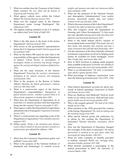- 7. What two entities does the Treasurer of the United States oversee? *The U.S. Mint and the Bureau of Engraving and Printing (191)*
- 8. What agency collects taxes within the United States? *The Internal Revenue Service (191)*
- 9. What was the original name of the Defense Department under George Washington? *War Department (192)*
- 10. The highest ranking members of the U.S. military are called what? *Joint Chiefs of Staff (193)*

- 1. What is the title given to the head of the Justice Department? *Attorney General (194)*
- 2. Who serves as the government's representatives before the U.S. Supreme Court? *Solicitor general and his assistants (194)*
- 3. What do the letters FBI stand for and what is the responsibility of this agency within the Department of Justice? *Federal Bureau of Investigation. It investigates threats of terrorism and foreign intrigue against the country and alleged violations of federal law. (195)*
- 4. What are the main functions of the Interior Department? *Protecting the country's environment, developing of our natural resources, and managing national parks (196)*
- 5. What is the purpose of the Bureau of Indian Affairs? *Maintain the federal government's relations with over 500 tribes (196)*
- 6. What is a controversial aspect of the Interior Department's responsibilities? *Management of federal mineral reserves—whether to protect them or to allow private companies to develop them (196)*
- 7. What does the Department of Agriculture do to food that U.S. farmers produce and that importers bring into the country? *Inspects and grades it (197)*
- 8. What agency within the Department of Agriculture administers the 4-H program? *Cooperative Extension Service (197)*
- 9. What is a controversial area regarding work of the Department of Agriculture? *Farm subsidies and price supports (197)*
- 10. Define parity. *Parity is the minimum price farmers receive which is based on the price farmers received in a good previous year adjusted for inflation. (198)*

### **Lesson 33**

- 1. What does the Commerce Department gather and publish? *Census data (200)*
- 2. What is the purpose of the National Institute of Standards and Technology? *To establish accurate*

*weights and measures and make sure businesses follow these standards. (200)* 

- 3. What are the purposes of the National Oceanic and Atmospheric Administration? *Issue weather forecasts, disseminate weather data, and conduct research in the seas and skies. (200)*
- 4. What is the main mission of the Labor Department? *To protect the rights of American workers (200)*
- 5. Why did Congress create the Department of Housing and Urban Development? *To help people have safe, affordable housing and to help cities have more attractive and functional downtowns (201)*
- 6. What is the belief behind HUD's mission of encouraging home ownership? *That people who own their homes will maintain their property and have a major investment that will help them financially. (202)*
- 7. List the nicknames of the three federally-chartered investment corporations involved in helping more money be available for home mortgages. *Fannie Mae, Freddie Mac, and Ginnie Mae (202)*
- 8. How is HUD involved in making rental property more available to the poor? *It provides rent subsidies to apartment owners who rent to low income families. (202)*
- 9. What is an infrastructure? *The basis or foundation upon which a system operates (203)*
- 10. What percentage of highway construction costs does the federal government pay? *Up to 90%. (204)*

- 1. What federal department accounts for about onefourth of federal spending? *Department of Health and Human Services (205)*
- 2. What are Medicare and Medicaid? *Medicare funds health care for elderly Americans; Medicaid helps states pay for health care for low-income families (205)*
- 3. Who is the surgeon general? *The head of the Public Health Service (206)*
- 4. What situation in the 1970s preceded the creation of the Energy Department? *The Arab oil embargo and the resulting energy crisis (206)*
- 5. What special interest group did politicians try to please by the creating the Department of Education? *National Education Association (NEA) (206)*
- 6. How has the Department of Education changed the oversight of the field of education? *The federal government is involved in an area where states had sovereignty for many decades. (206-207)*
- 7. What are some examples of benefits provided to military veterans? *Health care, mortgage loans, education benefits, pensions (207-208)*
- 8. What disaster prompted a rearranging of the federal government in 2001? *The September 11 terrorist attacks. (208)*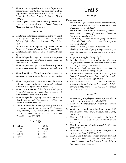- 9. What are some agencies now in the Department of Homeland Security that had once been in other departments? *Secret Service, Coast Guard, Customs Service, Immigration and Naturalization, and FEMA (208-209)*
- 10. What agency leads the federal government's response to natural disasters? *Federal Emergency Management Agency (FEMA) (209)*

- 1. What independent agencies are under the oversight of Congress? *Library of Congress, Government Printing Office, Government Accountability Office (210)*
- 2. What was the first independent agency created by Congress? *Interstate Commerce Commission (210)*
- 3. What is America's central bank? *The Federal Reserve System (211)*
- 4. What independent agency insures the deposits that people have in banks? *Federal Deposit Insurance Corporation (FDIC) (211)*
- 5. What independent agency provides start-up loans for new businesses? *Small Business Administration (211)*
- 6. What three kinds of benefits does Social Security provide? *Retirement, disability, and survivor benefits (213)*
- 7. What independent agency oversees America's national space exploration program? *National Aeronautics and Space Administration (213)*
- 8. What is the function of the Central Intelligence Agency? *Finding out information that the government needs to maintain our security. (213)*
- 9. What independent agency maintains America's historic documents? *The National Archives and Records Administration (213)*
- 10. Give four examples of semi-private government corporations mentioned in Lesson 35. *Tennessee Valley Authority (TVA), United States Postal Service (USPS), National Railroad Passenger Corporation (Amtrak), Conrail (215-216)*

### **Unit 7 Quiz**

|  | 1. $e(189)$ |  | 6. $g(202)$ |
|--|-------------|--|-------------|
|--|-------------|--|-------------|

- 2. i (190) 7. d (205)
- 3. h (194) 8. f (208)
- 4. b (196) 9. c (211)
- 5. j (200) 10. a (215)

### **Unit 8**

### **Lesson 36**

Define each term:

- 1. Magistrate—*Official who has limited judicial authority to issue search warrants, set bonds, and hear initial pleadings from suspects (220)*
- 2. Bond money (bail money)—*Money to guarantee a suspect will not run away if released and will appear at future court proceedings (220)*
- 3. Grand jury—*A specially-called group of private citizens who decides if there is enough evidence to justify holding a trial (221)*
- 4. Indict—*To formally charge with a crime (221)*
- 5. Plea bargain—*To plead guilty or to give testimony or some other concession in exchange for a lesser sentence (221)*
- 6. Acquittal—*Being found not guilty (221)*
- 7. Pre-trial discovery—*Period before the trial when lawyers gather evidence and interview witnesses and other people who might testify (222)*
- 8. Peremptory challenge—*An attorney's rejection of a potential juror without giving a reason (223)*
- 9. Parole—*When authorities release a convicted person from jail, but continue to monitor his activities to make sure he does not continue illegal activity (223)*
- 10. Appeals court—*A court which decides if there was a problem with the trial in the lower court and if the verdict should be upheld or if the case should go back to the lower court (223)*

- 1. What country's legal system was the primary basis for the American system? *England (225)*
- 2. What court did the Constitution establish? *Supreme Court (226)*
- 3. What other federal courts has Congress created? *District courts, circuit courts of appeal, and specialty courts (226)*
- 4. How are federal judges placed on the bench? *Nominated by the president and confirmed by the Senate (226)*
- 5. How long may federal judges serve? *For life, with good behavior (226)*
- 6. In 2016 what was the salary of the Chief Justice of the Supreme Court? *\$260,700 (227)*
- 7. What is the difference between criminal law and civil law? *Criminal law involves crimes against the people in general; civil law involves disputes between two individuals or parties (227)*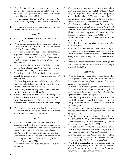- 8. Why do federal courts hear cases involving ambassadors, ministers, and consuls? *The framers did not want the representatives of foreign governments harassed by state courts. (228)*
- 9. How is treason defined? *Making war against the United States or giving aid and comfort to the enemy (229)*
- 10. How many treason trials have taken place in the United States? *About 30 (230)*

- 1. What is the lowest court of the federal legal process? *District courts (231)*
- 2. What Senate committee holds hearings when a president nominates a federal judge? *The Senate Judiciary Committee (231)*
- 3. How has politics affected Senate confirmation of judges? *When the Senate majority is of a different party from the president, the Senate sometimes stalls the president's nomination and the office is left vacant for a long time (231)*
- 4. What are four kinds of specialty federal courts? *Court of International Trade, federal bankruptcy courts, Court of Federal Claims, U.S. Tax Court (232)*
- 5. The losing party in a federal district court case can appeal the verdict where? *A federal circuit court of appeals (233)*
- 6. Who heard appeals of cases in federal courts before Congress established the federal appeals court system? *Supreme Court justices (233)*
- 7. How many justices usually hear a case in a federal circuit court of appeals? Three (234)
- 8. What courts hear appeals cases involving the military and veterans? *Court of Appeals for the Armed Forces, Court of Appeals for Veterans' Claims (234)*
- 9. What is a senior federal judge? *A semi-retired judge (235)*
- 10. Where can parties who have lost their appeals in the federal circuit courts of appeal file a further appeal? *With the Supreme Court (235)*

### **Lesson 39**

- 1. Why can it be said that the members of the U.S. Supreme Court are the most powerful persons in the federal government? *Their decisions cannot be reversed except by a constitutional amendment or a later Supreme Court ruling; a decision can wipe longestablished laws off the books; our entire society can be changed by the decision of five persons; a justice can never be forced to retire. (236)*
- 2. How many persons sit on the Supreme Court? *Nine (236)*
- 3. What was the average age of justices when *Exploring Government* was published? *Seventy (236)*
- 4. Why are Supreme Court nominations so pivotal and so hotly debated? *The justices serve for long tenures, they play a pivotal role in the law, and both political parties want to control the Court. (237)*
- 5. What has come to be the primary function of the Supreme Court? *To determine whether federal and state laws are within the scope of the Constitution (238)*
- 6. About how many appeals of cases does the Supreme Court receive each year? *7000 (238)*
- 7. About how many of those cases does the Court accept? *100 (238)*
- 8. When does the Court's term begin? *The first Monday in October (239)*
- 9. What is the "conference handshake"? *Before appearing for a public session and when they begin their Friday conferences, each justice shakes the hand of every other justice to indicate they all share the same purpose. (239)*
- 10. What is the most important principle that guides the Court's deliberations? Stare decisis—*letting a precedent stand* (240)

- 1. What did Franklin Roosevelt propose doing after the Supreme Court struck down several laws? *To increase the number of justices on the Court to a maximum of fifteen (243)*
- 2. On what basis did the Supreme Court uphold the Social Security law in *Helvering v. Davis*? *They found the Social Security law to be constitutional under the "general welfare" clause of the preamble. (243)*
- 3. How did Supreme Court decisions during the Great Depression expand the areas in which Congress passed laws? *The Court upheld many New Deal laws.* (243)
- 4. What phrase came out of the *Plessy v. Ferguson*  decision that upheld racial segregation? *"Separate but equal" (243)*
- 5. Why did the Court rule in favor of Brown in the case of *Brown v. Board of Education*? *Segregated public schools violated the fourteenth amendment's guarantee of equal protection under the law. (243)*
- 6. How did the *Brown v. Board of Education* decision reverse *Plessy*? *It held that separate schools for African Americans and whites were inherently unequal. (243)*
- 7. In what case did the Court say that certain procedures and safeguards for accused persons had to be in place? *Miranda v. Arizona (244)*
- 8. Why did the Court rule in favor of Hobby Lobby in *Burwell v. Hobby Lobby Stores, Inc*? *The requirements of the ACA created an undue religious burden on the owners and the Hobby Lobby company. (245)*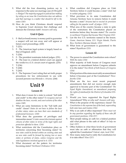- 9. What did the four dissenting justices say in response to the same-sex marriage case of *Obergefell v. Hodges*? *The majority engaged in judicial law-making by ruling on an issue the Constitution does not address and that marriage is a matter that should be left to the states (245)*
- 10. How do you think Christians should respond to Supreme Court decisions that challenge and demean the Christian faith? *Answers will vary.*

### **Unit 8 Quiz**

- 1. F Bail (or bond) money is money paid to guarantee a suspect will not run away and will appear at future court proceedings. (220)
- 2. T (221)
- 3. F The American legal system is largely based on that of England. (225)
- 4. T (226)
- 5. F The president nominates federal judges. (231)
- 6. F The loser in a federal district court can appeal the verdict to a U.S. circuit court of appeals. (233)
- 7. T (236)
- 8. T (240)
- 9. T (243)
- 10. F The Supreme Court ruling that set forth proper procedures for law enforcement to use with accused persons was *Miranda v. Arizona*. (244)

### **Unit 9**

### **Lesson 41**

- 1. What does it mean for a state to extend "full faith and credit" to the other states? *To recognize and not disallow the laws, records, and court actions of the other states (249)*
- 2. What are some limitations to the "full faith and credit" clause? *States do not have to follow the laws of other states; states can have their own standards of professional licensure. (250)*
- 3. What does the guarantee of privileges and immunities mean? *A state cannot discriminate against citizens of other states in terms of the legal rights and protection afforded to them. (250)*
- 4. What restrictions did the Constitution place on territories concerning their becoming states? *No new state could be formed within an existing state and no new state could be formed by joining two or more states or portions of states, unless Congress and the state legislatures involved agreed to it. (251)*
- 5. What document set the pattern for territories becoming states? *Northwest Ordinance (251)*
- 6. What condition did Congress place on Utah Territory before it could become a state? *Utah had to outlaw polygamy. (252)*
- 7. What provision in its state Constitution did Arizona Territory have to remove before it could become a state? *Arizona had to rescind its provision calling for the popular recall of judges. (252)*
- 8. What area of the country became a state in spite of the restrictions the Constitution placed on territories before they became states? *The counties in northwest Virginia that became West Virginia (252)*
- 9. List the five U.S. territories named in the lesson. *Guam, American Samoa, U.S. Virgin Islands, Puerto Rico, Northern Mariana Islands. (252)*
- 10. What form of government is guaranteed to the states? *Republican (253)*

- 1. The power to amend the Constitution rests where? *With the states (254)*
- 2. What majority of both houses of Congress must approve an amendment before Congress submits it to the states? *Two-thirds of both houses of Congress (254)*
- 3. What portion of the states must ratify an amendment before it becomes part of the Constitution? *Threefourths (254)*
- 4. What are the two most recent proposed amendments that did not receive enough state approval to become part of the Constitution? *The Equal Rights Amendment; an amendment proposing the rights of statehood for the District of Columbia (255- 256)*
- 5. Would you have supported the Equal Rights Amendment? Why or why not? *Answers will vary.*
- 6. What is the purpose of the supremacy clause? *The Constitution is the supreme law of the land, superceding both state laws and treaties (256)*
- 7. Why is an oath of office important? *There must not be any question regarding the loyalty of those who fill government positions. (256-257)*
- 8. Most people taking an oath for a federal position add what phrase to the oath of office? *So help me God. (257)*
- 9. Office holders in what three levels of government must take an oath or affirmation that they will uphold the Constitution? *Federal, state, local (256)*
- 10. How many states had to ratify the Constitution for it to take effect? *Nine (257)*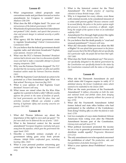- 1. What congressman edited proposals state conventions made and put them forward as twelve amendments for Congress to consider? *James Madison (258-259)*
- 2. What does the Bill of Rights limit? *The power and intrusiveness of the federal government. (259)*
- 3. What kinds of expression does the First Amendment not protect? *Libel, slander, and speech that presents a clear and present danger to national security or public safety (259)*
- 4. What agency did the federal government create to regulate broadcasting? *Federal Communications Commission (260)*
- 5. Do you believe that the federal government should regulate radio and television broadcasts? Explain your answer. *Answers will vary.*
- 6. What was the FCC's Fairness Doctrine? *Broadcast stations had to devote some time to a discussion of public issues and had to make a reasonable attempt to present varying viewpoints. (260)*
- 7. Why was the Fairness Doctrine dropped? *The FCC decided that the increasing number of cable and satellite broadcast outlets made the Fairness Doctrine obsolete. (261)*
- 8. In 1989 the Supreme Court declared an action to be protected as a First Amendment right. What was that action? *Burning an American flag (261)*
- 9. What is your opinion of that Supreme Court decision? *Answers will vary.*
- 10. What issues are raised when the Ku Klux Klan applies for a permit to hold a rally? *Officials usually approve the permit in the name of freedom of speech, but local governments can limit the place, time, and activities involved. Officials can schedule a public hearing if legitimate safety and security concerns are present. (261-262)*

### **Lesson 44**

- 1. What did Thomas Jefferson say about the importance of the right to own and use guns? *"No free men shall ever be debarred the use of arms." (263)*
- 2. What is the historical context for the second amendment? *European kingdoms routinely took guns away from the populace, which gave the government the upper hand. (263)*
- 3. Describe a twentieth century example of a government taking guns away from private citizens. *Adolph Hitler confiscated guns, including hunting rifles. (263)*
- 4. What is your personal position concerning gun control and the right to bear arms? *Answers will vary.*
- 5. What is the historical context for the Third Amendment? *The British practice of requiring colonists to house British troops. (265)*
- 6. Why is it important for every citizen, even those with criminal records, to be considered innocent of a crime until proven guilty? *Because someone could be accused falsely, the police or the justice system might feel pressure to obtain a conviction, or officials might bring the weight of the system to bear on an individual unfairly (265)*
- 7. Amendments Five through Eight protect the rights of whom? *People accused of a crime. (265)*
- 8. Do you believe that the death penalty is "cruel and unusual punishment"? *Answers will vary.*
- 9. What did Alexander Hamilton fear about the Bill of Rights? *He was afraid that government in the future might assume that if the Bill of Rights did not specifically list a particular right, the people did not have that right. (267-268)*
- 10. What does the Tenth Amendment say? *That powers not specifically delegated to the federal government by the Constitution nor specifically denied to the states by the Constitution remained with the states or the people (268)*

- 1. What did the Thirteenth Amendment do and which states did Congress require to ratify it? *It abolished slavery; the former Confederate states which wanted to be readmitted to the Union (269)*
- 2. What are the main provisions of the Fourteenth Amendment? *It defines citizenship on both the state and national levels and forbids states from denying anyone life liberty, or property without due process of law. (270)*
- 3. What did the Fourteenth Amendment forbid former federal and state office holders who had participated in the rebellion of the Confederacy from doing? *Holding office on either the federal or state level. (270)*
- 4. List two examples of ways states hindered African Americans from voting even after the Fifteenth Amendment became part of the Constitution. *Literacy tests and poll taxes (271)*
- 5. What political movement promoted the income tax as a way to generate government revenue and distribute wealth equally? *Progressive Movement (271-272)*
- 6. The only amendment ever to be repealed concerned the prohibition of what? *The production, sale, and transportation of alcoholic beverages (272)*
- 7. What is your opinion about Prohibition? *Answers will vary.*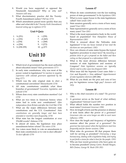- 8. Would you have supported or opposed the Nineteenth Amendment? Why or why not? *Answers will vary.*
- 9. What discriminatory practice did the Twenty-Fourth Amendment outlaw? *Poll tax (273)*
- 10. Which amendment passed more quickly than any other and what did it do? *Twenty-Sixth Amendment; lowered voting age to eighteen (273)*

### **Unit 9 Quiz**

| 1. $h(251)$ | 6. i (259)  |
|-------------|-------------|
| 2. $e(252)$ | 7. $d(265)$ |

- 3. j (254) 8. c (268)
- 4. a (256) 5. b (258-259) 9. f (272) 10. g (273

### **Unit 10**

### **Lesson 46**

- 1. Which level of government has the most authority about education issues? *State governments (277)*
- 2. In early state constitutions, why was most of the power vested in legislatures? *In reaction to negative experience with colonial governors appointed by the king (277)*
- 3. Which was the only original state to elect a constitutional convention? *Massachusetts (278)*
- 4. All state constitutions establish what three branches of government? *Executive, legislative, and judicial (278)*
- 5. Whom does every state constitution mention? *God (278)*
- 6. What are two times in American history when states had to write new constitutions? *After independence from Britain and after the Civil War (278)*
- 7. What are the major differences between state constitutions and the U.S. Constitution? *State constitutions are generally longer and have been amended or rewritten more frequently. (278)*
- 8. What state has the longest constitution at over 376,000 words? *Alabama (278)*
- 9. In almost all states, the legislature may place amendments before whom? *The voters (279)*
- 10. Are voters more likely to vote on amendments to their state constitutions or to vote to elect officials? *To elect officials (279)*

### **Lesson 47**

- 1. Where do state constitutions vest the law-making power of state governments? *In the legislature (281)*
- 2. What is every upper house in the state legislatures called? *State senate (281)*
- 3. State senators generally serve a term of how many years? *Four (281)*
- 4. State representatives generally serve a term of how many years? *Two (281)*
- 5. What is the most representative body in the world based on population? *New Hampshire House of Representatives (281)*
- 6. What is unusual about the Nebraska state legislature? *It has one house instead of two (and the elections are non-partisan). (282)*
- 7. How can citizens of some states bypass the typical legislative procedure to enact laws? *By mounting a petition drive to get a proposal on the ballot and then voting on that proposal in a referendum (283)*
- 8. What is the most obvious difference between sessions of state legislatures and sessions of Congress? *State legislature sessions are typically shorter and in a few cases less frequent (283)*
- 9. What issue did the Supreme Court cases *Baker v. Carr* and *Reynolds v. Sims* address? *Apportionment of state legislative districts* (285-286)
- 10. What do you think are the pros and cons of low pay for legislators versus high pay? *Answers will vary.*

- 1. Who is the chief executive of a state? *The governor (288)*
- 2. A governor serves as the head of what military organization? *National Guard (289)*
- 3. What official holds the number two position in most states? *Lieutenant Governor (290)*
- 4. How do length of term and the presence or absence of term limits affect the power of a governor? *Governors who can serve longer are able to exert more influence. (290)*
- 5. How does the length and frequency of legislative sessions affect the power of a governor? *The governor has more power when the legislatures meet less frequently and for shorter sessions. (290)*
- 6. What roles do governors fill that prepare them well for serving as president? *Overseeing a large bureaucracy, dealing with a legislative body, and trying to put forth a vision for what is best for the people. (291)*
- 7. Who are four recent governors who have gone on to become president? *Jimmy Carter, Ronald Reagan, Bill Clinton, George W. Bush (291-292)*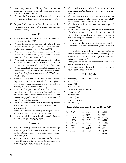- 8. How many terms had Jimmy Carter served as governor of Georgia before he became president of the United States? *One (291)*
- 9. Who was the first governor of Texas to win election to consecutive four-year terms? *George W. Bush (292)*
- 10. Do you think governors should have the ability to exercise a line-item veto? Explain your answer. *Answers will vary.*

- 1. What is meant by the term "red tape"? *Complicated channels of procedure (293)*
- 2. What is the job of the secretary of state of South Dakota? *Maintain official records, oversee elections, handle applications for business licenses (293)*
- 3. Who chooses department secretaries in South Dakota government? *The governor nominates them and the legislature confirms them (295)*
- 4. What South Dakota official examines how state government spends funds in order to assure the process is accurate and efficient? *State auditor (294)*
- 5. What is the role of the South Dakota Department of Corrections? *Manage state prisons and parole systems, guide juvenile offenders, and provide rehabilitation for offenders (295)*
- 6. What is the purpose of the South Dakota Department of Public Safety? *Oversee highway safety, driver licensing, homeland security, the state fire marshal, and other similar matters (295)*
- 7. What is the purpose of the South Dakota Department of Tribal Relations? *To provide services for the nine Native American tribes that live in the state and encourage positive relations between the tribes and other South Dakota residents. (296)*
- 8. The Texas state supreme court has final appellate jurisdiction in what two types of cases? *Civil and juvenile. (299)*
- 9. What Texas court holds final appellate jurisdiction in criminal cases? *The court of criminal appeals (299)*
- 10. How do people become judges in Texas? *All judges are elected except municipal judges. (299)*

### **Lesson 50**

- 1. Why do state governments try to encourage economic growth? *In order to generate more revenue for the state and create more and better paying jobs for its citizens (301)*
- 2. Most job growth within a state comes from what types of businesses? *Small companies with fewer than twenty employees and new businesses (301)*
- 3. What kind of tax incentives do states sometimes offer a business? *No business or property tax for a few years (302)*
- 4. What types of infrastructure can state governments provide in order to help businesses be successful? *Roads, bridges, utilities, and other services (302)*
- 5. What is the most important asset for any company? *Its people (302)*
- 6. In what two ways do governors and other state officials help state economies by making official trips to foreign countries? *By recruiting businesses and by opening new markets for products produced in their states (302)*
- 7. How many dollars are estimated to be spent by tourists in the United States each year? *1.5 trillion (303)*
- 8. How do states promote tourism? *Internet marketing; print marketing such as road maps, vacation guides, brochures, and advertisements in magazines; billboards and other signs; etc. (303)*
- 9. What growing tourist industry is mentioned in the lesson? *Agritourism (303)*
- 10. What business would you like to start to benefit your state? *Answers will vary.*

### **Unit 10 Quiz**

- 1. executive, legislative, and judicial (278)
- 2. voters (279)
- 3. senate (281)
- 4. Nebraska (281-282)
- 5. lieutenant governor (290)
- 6. president (291)
- 7. auditor (294)
- 8. prisons (295)
- 9. infrastructure (302)
- 10. trillion (303)

### **Second Government Exam — Units 6-10**

|    | 1. $f(167)$     | 9. $d(205)$      | 17. $p(208)$ |
|----|-----------------|------------------|--------------|
|    | 2. $j(278)$     | 10. $e(236)$     | 18. n (256)  |
| 3. | b(190)          | 11. $o(156-157)$ | 19. m (189)  |
| 4. | h(211)          | 12. $r(178)$     | 20. $q(303)$ |
|    | 5. $i(281-282)$ | 13. $t(221)$     | 21. $w(259)$ |
| 6. | c(169)          | 14. 1 (240)      | 22. u (251)  |
| 7. | a(220)          | 15. k (183)      | 23. $x(244)$ |
|    | 8. $g(290)$     | 16. s (254)      | 24. y (170)  |
|    |                 |                  | 25. $v(268)$ |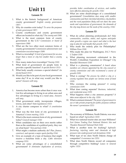### **Unit 11**

### **Lesson 51**

- 1. What is the historic background of American county government? *English county government (307)*
- 2. Why do counties exist today? *To serve the purposes of state government (307)*
- 3. County courthouses and county government offices are located in what city? *The county seat (308)*
- 4. What is the most common form of county government in the U.S.? *Commission or board of supervisors (308)*
- 5. What are the two other most common forms of county governments? *Commission-administrator and commission-executive/mayor (309)*
- 6. What is a township? *A level of government for an area larger than a town or city but smaller than a county (310)*
- 7. How many states have townships? *Twenty (310)*
- 8. What kind of government do people form to provide a specific function? *A special district (311)*
- 9. What body usually oversees a special district? *An elected board (311)*
- 10. Would you like to be part of your local government some day? If so, in what way would you like to serve? *Answers will vary.*

### **Lesson 52**

- 1. America has become more urban than it once was. List five advantages to living in an urban area and five advantages to living in a rural area. *Answers will vary.*
- 2. What government entity incorporates villages, towns, and cities? *State legislatures (313)*
- 3. A city charter compares to what? *A constitution (313)*
- 4. What was the first form of city government in America? *A town meeting. (313)*
- 5. What is the most common form of city government today? *Council-manager (314)*
- 6. When candidates run on their own merits rather than as the candidates of a political party, they run on what basis? *Non-partisan (314)*
- 7. What might a stadium authority do? *Plan, finance, construct, and operate a major sports facility (314)*
- 8. Give an example of a type of business that might receive a franchise from a city. *Cable television company (315)*
- 9. What are some advantages of a consolidated government? *It eliminates duplication of services,*

*provides better coordination of services, and enables more effective planning for growth. (316)*

10. What are some disadvantages of a consolidated government? *Consolidation does away with smaller communities and their cherished identities; city dwellers and the rural population likely will not share the same needs and expectations of government; the demands of the city may drown out the needs of the country. (316)*

### **Lesson 53**

- 1. What do urban planning professionals do? *Help communities, counties, states, and regions anticipate what growth a region can expect and what is the best way to plan for and handle that growth. (317)*
- 2. Who made the orderly plan for Philadelphia? *William Penn (318)*
- 3. Who made the plan for Washington, D.C.? *Pierre L'Enfant (318)*
- 4. What planning movement culminated in the World's Columbian Exposition in Chicago? *City Beautiful Movement (318)*
- 5. What is a planning commission? *A board whose members are citizens appointed by the city council or county commission and who recommend a course of growth (319)*
- 6. What is zoning? *The process by which a city or a county regulates how people use various areas of land (319)*
- 7. Who oversees the zoning process? *A zoning commission (319)*
- 8. What does zoning separate? *Business, industrial, and residential areas (319)*
- 9. What happens when a city annexes property? *It takes areas adjacent to the city. (320)*
- 10. What is eminent domain? *The power of government to use or take private property for public purposes without the owner's permission (321)*

- 1. The economy of Williston, North Dakota, was once based on what? *Agriculture (323)*
- 2. What two national tourist sites are near Williston? *Fort Union Trading Post National Historic Site and Theodore Roosevelt National Park (324)*
- 3. What is another term for fracking? *hydraulic fracturing; injecting water and chemicals at high pressure into underground rock formations (324)*
- 4. What type of tax does North Dakota charge oil companies? *A severance tax (325)*
- 5. What does North Dakota award oil companies through competitive bidding? *Leases to mineral rights. (325)*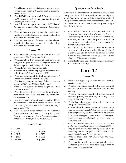- 6. The oil boom caused a crisis in government in what service areas? *Roads, water, sewer, electricity, schools, and health care (325)*
- 7. Why did Williston take on debt? *To expand services quickly before it had the tax revenues to pay for everything it needed. (325)*
- 8. How did mass transportation change in Williston? *Air and rail transportation increased dramatically. (325-326)*
- 9. What services do you believe the government should provide to displaced persons in a place like Williston? *Answers will vary.*
- 10. What services do you believe churches should provide to displaced persons in a place like Williston? *Answers will vary.*

- 1. What binds the country together on all levels of government? *The Constitution (328)*
- 2. What legislation did Thomas Jefferson encourage Congress to pass that had a negative effect on American port cities? *Embargo Act (329)*
- 3. What is RFD? *Rural free delivery (329)*
- 4. What federal government program helped the mail order industry? *Parcel post service (329)*
- 5. What was the name of the first federal highway? *Cumberland Road or National Road (329)*
- 6. What is the system of numbered federal highways begun in 1926? *U.S. Highway System (330)*
- 7. What is the system of roads begun in 1956? *Interstate system (330)*
- 8. What do federal officials use to allocate funding each year to state, local, and tribal governments? *Census data (330)*
- 9. How does illegal immigration affect state and local governments? *They must provide education, health care, law enforcement, and other services for illegal immigrants. (331)*
- 10. How did many states respond to the Supreme Court's decision in *Brown v. Board of Education*? *They responded with a policy of "massive resistance" and refused to comply with the decision. (331)*

### **Unit 11 Quiz**

| 1. $e(307)$        | 6. $c(321)$ |
|--------------------|-------------|
| 2. $\dot{j}$ (310) | 7. d (324)  |

- 2. j (310) 3. a (313) 8. f (325)
- 4. b (313) 9. i (329)
- 5. h (319) 10. g (330)

### **Questions on** *Born Again*

Answers to the first three questions should total at least one page. None of these questions involve "right or wrong" answers. Our suggested answers for question 3 give possible themes and main points for their answers, but the student should have written at greater length than these answers.

- 1. What did you learn about the political realm in *Born Again* that surprised you? *Answers will vary.*
- 2. After reading about Colson's prison experiences, what do you think about the prison system? Do you think prison is effective as a consequence for crime? *Answers will vary.*
- 3. What do you think Colson wanted the reader to come away with after reading his story? *Christ is Savior. God can do miracles. Fellowship in Christ brings unlikely friendships. God brings good out of bad situations. Other answers possible.*
- 4. Student is to write a one-half to one page summary and review of *Born Again.*

## **Unit 12**

- 1. What is a budget? *A plan of income and expenses, usually for a year (335)*
- 2. What do you believe should be the most essential spending priority for the federal budget? *Answers will vary.*
- 3. What do you believe should be the most essential spending priority for your city or county's local budget? *Answers will vary.*
- 4. What office holder proposes the federal budget to Congress? *President (336)*
- 5. What conflicts do conservatives and liberals often have concerning budgets? *Each side points to waste in the programs they don't like and defends the excesses in the ones they support. Conservatives tend to support spending on defense and liberals support spending on social programs. (337)*
- 6. What is a sunset law? *A law that states that the funding for a project will end at a certain date (337)*
- 7. Why do government agencies try to spend all of the money in their budgets? *In order to prevent their budget from being cut the next year (337)*
- 8. What are capital projects? *Large projects like roads, schools, etc. (338)*
- 9. What spending restriction do most states have that the federal government does not? *A requirement to have a balanced budget (337)*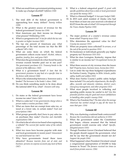10. What can result from a government printing money to make up a budget shortfall? *Inflation (338)*

### **Lesson 57**

- 1. The total debt of the federal government is approaching how many dollars? *Twenty trillion (339)*
- 2. What is the greatest source of revenue for the federal government? *Income tax (339)*
- 3. Most Americans pay their income tax through what process? *Withholding (339)*
- 4. What is a progressive tax? *A tax for which the tax rate is greater on higher incomes (341)*
- 5. The top one percent of Americans pay what percentage of the total income tax that the IRS collects? *38% (341)*
- 6. What are some items on which the federal government collects excise taxes? *Alcohol, tobacco, gasoline, jewelry, furs, and guns (342)*
- 7. What does the government do when Social Security revenue exceeds benefits paid out in one year? *The government purchases U.S. Treasury bonds in the amount of the difference. (343)*
- 8. What is a government bond? *A loan that the government promises to pay back at a specific time in the future with interest (344)*
- 9. What is the relationship between a borrower and a lender? *The borrower is the lender's slave. (344)*
- 10. Do you think something needs to be done about the national debt? If so, what? *Answers will vary.*

### **Lesson 58**

- 1. Do states or the federal government have lower income tax rates? *States (345)*
- 2. What is a sales tax? *A tax governments charge when a person makes a routine purchase. (345)*
- 3. What are items that are exempt from sales tax, or taxed at a lower rate, in certain states? *Food and prescriptions (346)*
- 4. What groups generally don't have to pay sales tax on purchases they make? *Churches and charitable organizations (346)*
- 5. On what is the *ad valorem* tax based when registering a vehicle? *The current fair market value of the vehicle (347)*
- 6. What two taxes have become popular with state and local governments in recent years? *Amusement tax and hotel/motel tax (347)*
- 7. Why have governments found these taxes attractive? *Because tourists from out of state and business persons on expense accounts pay most of them (347)*
- 8. What is a federal categorical grant? *A grant with specific guidelines about how a state or local government can spend the money (347)*
- 9. What is a biennial budget? *A two-year budget (348)*
- 10. In 2015 each adult resident of Alaska who had lived there at least one year received a dividend of \$2,072 from the sale of what? *Oil transported through the Trans-Alaska Pipeline (350)*

### **Lesson 59**

- 1. The major portion of a county's revenue comes from what? *Property taxes (351)*
- 2. Who determines the appraised value for this? *County tax assessor (351)*
- 3. When are property taxes collected? *In arrears, or at the end of the period in question (351)*
- 4. Do businesses or individuals generally pay higher property tax? *Businesses (351-352)*
- 5. What fee does Lexington, Kentucky, impose that is similar to an income tax? *Occupational license fee (352)*
- 6. What three sources of city revenue does the lesson list? *Property taxes, business taxes, license fees (352)*
- 7. List in order the top three budgeted expenditures for Fairfax County, Virginia, in 2016. *Schools, public safety, health and welfare (352)*
- 8. What does Fairfax County's public safety budget item include? *Fire and police departments, the sheriff's office, juvenile and domestic relations, district court, emergency management, and other programs (352)*
- 9. What must people involved in collecting and spending public money be careful to do? *Use this powerful position only for good and ensure faithfulness in handling other people's money (354)*
- 10. What is Tax Freedom Day? *The date when the average American has worked enough to pay all the taxes he owes that year. (354)*

- 1. Why was chartering a national bank controversial? *Because the Constitution did not authorize it (355)*
- 2. When the government under the Constitution first began, citizens assumed that the federal government would exercise only what? *Specific, delegated powers (355)*
- 3. Though President Grover Cleveland believed that the people should support the government, what did he say that the government should not do? *Support the people (356)*
- 4. What happened when President Cleveland vetoed a congressional appropriation of \$10,000 to help farmers in Texas? *The farmers received ten times as much from private sources. (356)*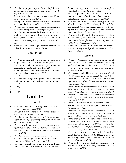- 5. What is the proper purpose of tax policy? *To raise the revenue that government needs to carry out its proper functions (356)*
- 6. Some people believe that governments should use taxes to influence what? *Behavior (356)*
- 7. Some people believe that governments should use taxes to redistribute what? *Income (357)*
- 8. Which generally helps the economy more, raising taxes or lowering taxes? *Lowering taxes (357)*
- 9. Describe two situations the lesson mentions that might justify a government borrowing money. *To provide funds to fight an enemy who has attacked or to stimulate the economy during a recession or depression (358)*
- 10. What do think about government taxation to redistribute income? *Answers will vary.*

### **Unit 12 Quiz**

- 1. T (335)
- 2. F When government prints money to make up a budget shortfall, it can cause inflation. (338)
- 3. F The total debt of the federal government is approaching twenty trillion dollars. (339)
- 4. F The greatest source of revenue for the federal government is the income tax. (339)
- 5. T (345)
- 6. F Federal categorical grants have specific guidelines for state and local governments. (337)
- 7. T (351)
- 8. T (354)
- 9. T (356) 10. T (356)

## **Unit 13**

### **Lesson 61**

- 1. What does the word diplomacy mean? *The conduct of relations among nations (361)*
- 2. The Constitution assigns the role of head of state to what person? *The president (362)*
- 3. What is the role of an ambassador? *An ambassador serves as the highest-ranking representative of one nation in another nation. (362)*
- 4. What is the role of a consul? *A consul is a government representative who works in another country and assists individuals and businesses from his or her home country. (362)*
- 5. What term describes a government in one country believing that the government of another country is legitimate? *Diplomatic recognition (362)*
- 6. For what political reason did the United States send aid to smaller countries during the Cold War?

*To win their support or to keep those countries from officially aligning with the enemy. (364)*

- 7. What happened at the U.S. embassy in Tehran, Iran, in the late 1970s? *Iranian militants took it over and held Americans hostage for over a year. (364)*
- 8. How and why did U.S. relations change with Iran after the crisis at the U.S. embassy in Tehran? *The U.S. supported Iraq and Saddam Hussein in its war against Iran until Iraq drew closer to other enemies of America in the Middle East. (364-365)*
- 9. Why does the United States encourage freedom and democracy in other countries? *Because of an American belief that freedom and democracy are basic rights of every human being (365)*
- 10. If you could serve in an American embassy abroad, in what country would you like to serve and why? *Answers will vary.*

- 1. What does America's participation in international trade involve? *Private American companies providing goods and services to other countries and American companies receiving goods and services from companies in other countries (367)*
- 2. What was the major U.S. trade policy before World War II? *Setting tariff rates for imported goods (367)*
- 3. What are GATT and the WTO? *The General Agreement on Tariffs and Trade and the World Trade Organization (367)*
- 4. What is a country guaranteed if it has Normal Trade Relations status with the U.S.? *Trade considerations that are the best that the U.S. gives to any country (368)*
- 5. What are NAFTA and CAFTA? *North American Free Trade Agreement and Central American Free Trade Agreement (368-369)*
- 6. What has happened to the economies of the U.S., Mexico, and Canada since the passage of NAFTA? *All have grown. (368)*
- 7. What are some negative consequences of NAFTA? *Some American workers have lost their jobs. Mexican farmers and farm workers have been hurt. (368)*
- 8. What changed in American trade with China between 1985 and 2015? *U.S. exports and Chinese imports were about the same in 1985, but in 2015 the U.S. exported about one-fourth as many goods to China than it imported from China. (369)*
- 9. What do opponents of trade with China fear about this trend? *That it puts the U.S. at an economic disadvantage which might develop into a political and military disadvantage (369)*
- 10. What are two ways in which governments work against free trade? *Tariffs and government subsidies to an industries (370)*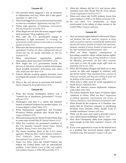- 1. One terrorist attack triggered a war on terrorism in Afghanistan and Iraq. When did it take place? *September 11, 2001 (371)*
- 2. That event triggered a war on the forces of terrorism in what two countries? *Afghanistan and Iraq (371)*
- 3. Define state sponsors of terrorism. *Governments that aid and protect terrorists (372)*
- 4. What illegal activity does the lesson suggest might fund terrorism? *Drug-trafficking (372)*
- 5. Why does the U.S. government engage in diplomacy to fight terrorism? *To encourage the governments of other nations to join with us in working against terrorism (372)*
- 6. What does the lesson mention as purposes of secret operations? *Finding out where underground cells are located and who the specific individuals are that are involved (373)*
- 7. What international organization gathers information about terrorists? *INTERPOL (373)*
- 8. How might the U.S. government invade the privacy of American citizens to obtain information about possible terrorists? *Intercepting mail, phone calls, emails and other data (373)*
- 9. Federal officials working against terrorism must investigate the transfer of what? *Money and weapons (373)*
- 10. What is the real answer to terrorism and hatred? *Hearts changed by the gospel of Jesus (374)*

#### **Lesson 64**

- 1. What did George Washington believe was a "baneful foe of republican government"? *Foreign influence (375)*
- 2. Washington said that if a nation has habitual hatred or habitual fondness for another nation, it is in some degree a what? *Slave (375)*
- 3. What international organization did President Woodrow Wilson promote after World War I? *League of Nations (376)*
- 4. What international body did the United States help to create after World War II? *United Nations (376)*
- 5. What five countries are permanent members of the U.N. Security Council? *United States, United Kingdom, Russia, France, and China (376)*
- 6. The lesson mentions three of the U.N.'s many agencies. What are they? *United Nations Children's Fund (UNICEF), World Health Organization, International Court of Justice (377)*
- 7. Name two times when the United Nations has helped the United States with an international problem. *Cuban Missile Crisis of 1962 and conflicts with Saddam Hussein in 1990-1991 and 2003 (377)*
- 8. What key alliance did the U.S. and eleven other countries form after World War II? *North Atlantic Treaty Organization (NATO) ((377)*
- 9. When and where did NATO military forces first enter combat? *In 1994 on the Balkan peninsula (378)*
- 10. Do you favor U.S. isolationism or major involvement in the affairs of other nations in the world? Why? *Answers will vary.*

- 1. How are human rights defined in the lesson? *Rights and freedoms that most countries recognize as being what every person deserves, including life, freedom from slavery and torture, freedom of religion and expression, adequate standard of living, freedom of movement, and the right of political self-determination (381)*
- 2. What are three negative consequences of boycotting countries which violate human rights? *The oppressive leader may portray himself as a victim; the offending government can find other countries with which to trade; the people might suffer while the leadership elite do not. (381)*
- 3. What did Presidents Reagan and Bush do as they carried on talks and engaged in relations with the Soviet Union? *They negotiated from a position of American strength, and they were willing to point out the failings of the Communist system. (382)*
- 4. What term is often used for racial segregation in South Africa? *Apartheid (382)*
- 5. When did America restore diplomatic relations with Cuba? *2015 (382)*
- 6. The lesson mentions three types of human rights violations in China. What are they? *Suppression of political opposition; imprisonment and torture of Chinese Christians; a lack of freedom of expression (382)*
- 7. What should be the response of a Christian who learns that an American company is purchasing products from factories where people work in terrible conditions? *Answers will vary.*
- 8. What was the term once used to describe what is now called human trafficking? *Slavery. (383)*
- 9. How does Christianity differ from religions that teach people to hate their enemies? *Answers will vary.*
- 10. If you were appointed to work on the federal level in a position that involved human rights, what would be your first priority? *Answers will vary.*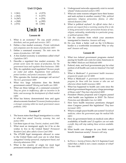### **Unit 13 Quiz**

| 1. $f(361)$     | 6. d $(373)$           |
|-----------------|------------------------|
| 2. $\int (362)$ | 7. b (377)             |
| 3. $h(367)$     | 8. e (376)             |
| 4. a $(368)$    | 9. $g(382)$            |
| 5. $j(372)$     | 10. $\mathbf{i}$ (383) |

### **Unit 14**

### **Lesson 66**

- 1. What is an economy? *The way people produce, distribute, and use goods and services. (387)*
- 2. Define a free market economy. *Private individuals and companies own the means of production (387)*
- 3. Define a command economy. *The state owns the means of production. (387-388)*
- 4. A free market economy is sometimes called what? *Capitalism (387)*
- 5. Describe a regulated free market economy. *The private sector owns the means of production, but the government taxes and regulates those businesses. (388)*
- 6. Why do capitalists need regulation? *Because people are sinful and selfish. Regulations limit pollution, protect workers, and protect consumers. (389)*
- 7. Who operates the Amtrak passenger rail service? *The U.S. government (389)*
- 8. What two large industries does the British government control? *Mining and health care (389)*
- 9. What are three failings of a command economy? *They are given to inefficiency, offer no incentive to do better, and encourage the development of a black market (389)*
- 10. What has history demonstrated time and again about economic freedom? *Economic freedom produces a stronger economy while too much government causes problems. (392)*

### **Lesson 67**

- 1. The lesson states that illegal immigration is a crisis in what four areas? *Security, economy, law, and justice (393)*
- 2. List three types of visa. *Tourist, student, work (394)*
- 3. What must an immigrant apply for if he or she wishes to live in the United States? *Permanent Resident Card, often called a Green Card (394)*
- 4. The 675,000 legal immigrants allowed to come to the United States each year are in what three categories? *Family-sponsored, employment-based, and diversity admissions (394)*
- 5. What is the country of origin for most legal permanent resident applicants? *Mexico (395)*
- 6. Underground networks apparently exist to recruit whom? *Undocumented workers (395)*
- 7. What are some reasons refugees leave their homes and seek asylum in another country? *War, political oppression, religious persecution, famine, or other natural disasters.(396)*
- 8. What is political asylum? *An official status that a person can request from a receiving country if he or she is being persecuted or fears persecution because of race, religion, nationality, membership in a particular group, or political opinion (396)*
- 9. List the countries from which your ancestors immigrated to America. *Answers will vary.*
- 10. Do you think a better wall on the U.S./Mexico border is a worthwhile investment? Why or why not? *Answers will vary.*

### **Lesson 68**

- 1. What two federal government programs started paying for health care costs for some Americans in the 1960s? *Medicare and Medicaid (400)*
- 2. Federal, state, and local governments pay for what portion of all health care costs in America? *One-half (399)*
- 3. What is Medicare? *A government health insurance program for people over 65 (400)*
- 4. What is Medicaid? *A government health insurance program for those with low income or who can not otherwise obtain health insurance (400)*
- 5. What has happened to health care costs since the federal government began to pay a large percentage of those costs? *They have skyrocketed.(400)*
- 6. President Obama proposed and Congress passed what health care legislation in 2010? *The Patient Protection and Affordable Care Act (400)*
- 7. How have health insurance premiums changed since Congress passed this legislation? *They have increased. (401)*
- 8. What is a single-payer health care system? *Socialized medicine, where the government pays the medical bills (401)*
- 9. How do government limits on medical costs affect availability of health care? *If suppliers can not make a profit, they will stop making those services available. (402)*
- 10. What health care changes do you think would benefit American society? *Answers will vary.*

### **Lesson 69**

1. In *Pierce v. Society of Sisters*, the U.S. Supreme Court ruled that a child is not a mere creature of what? *The state (404)*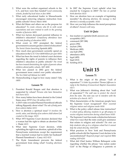- 2. What were the earliest organized schools in the U.S., and how were they funded? *Local community schools, funded by local taxes or fees (404)*
- 3. What early educational leader in Massachusetts encouraged removing religious instruction from public schools? *Horace Mann (404)*
- 4. What did Mann and others see as the purpose for education? *To create citizens who fit in with social expectations and were trained to work in the growing number of factories (405)*
- 5. What two factors decreased parental influence in children's education? *Compulsory attendance laws and state funding of education (405)*
- 6. What event in 1957 prompted the federal government to assume greater control of education? *The Soviet Union launching* Sputnik (405)
- 7. How much does government currently spend on education in the U.S.? *Over \$600 billion per year (405)*
- 8. What has been the trend in federal court decisions regarding the rights of parents to influence their children's education in public schools? *The trend has been toward diminishing the rights of parents whose children attend public schools. (407-408)*
- 9. What law passed in 2002 gave the federal government more control over public education? *The No Child Left Behind Act (409)*
- 10. Homeschooling is legal in how many states? *Fifty (409)*

- 1. President Ronald Reagan said that abortion is supported by whom? *Persons who have themselves been born (411)*
- 2. How many babies have been aborted in the United States since 1973? *Over 58 million (411)*
- 3. A 2015 video revealed Planned Parenthood officials talking flippantly about what? *The sale of body parts from unborn babies (411)*
- 4. How is abortion a spiritual issue? *It involves the worth, value, and identity of an unborn child whom God created in His image. (412)*
- 5. What 1973 Supreme Court decision declared that a woman had the right to obtain an abortion? Roe v. Wade *(412)*
- 6. What later Supreme Court decision, while upholding the right to an abortion, upheld all of the Pennsylvania restrictions except the requirement that a married woman had to notify her husband? Planned Parenthood v. Casey *(412-413)*
- 7. The Hyde Amendment prevents the federal government from doing what? *Funding abortions (413)*
- 8. In 2007 the Supreme Court upheld what ban enacted by Congress in 2003? *The ban on partial birth abortion (413)*
- 9. How are abortion laws an example of legislating morality? *By allowing abortion, the message is that abortion is morally acceptable. (414)*
- 10. How can you help influence the moral perceptions of others? *Answers will vary.*

### **Unit 14 Quiz**

- 1. free market or capitalist (both answers are acceptable) (387)
- 2. command (387-388)
- 3. green (394)
- 4. asylum (396)
- 5. Medicare (400)
- 6. one-half (399)
- 7. attendance (405)
- 8. legal (409)
- 9. legal (412)
- 10. funding (413)

### **Unit 15**

- 1. What is the origin of the phrase "wall of separation"? *A letter by president Thomas Jefferson in reply to the Danbury (Connecticut) Baptist Association (417)*
- 2. What was Jefferson's thinking about that "wall of separation"? *The wall was to protect the church from the state. The state was not to interfere with the activities of a church. (417)*
- 3. What characteristics of the American people have the Supreme Court recognized? *Their essential religious nature and religious needs (418)*
- 4. What is the policy called release time instruction? *A school policy allowing students to go off-campus to receive religious instruction during school hours (418)*
- 5. The Supreme Court has made a distinction between what two ways that the state could give assistance that relates to religion and schools? *The state can help students who go to a religious school but it cannot help the school directly. (418-419)*
- 6. What practices in New York and Pennsylvania public schools did the Supreme Court declare to be unconstitutional? *Required prayer and required Bible reading (419-420)*
- 7. What did Chief Justice William Rehnquist write regarding whether the phrase "one nation under God" in the Pledge of Allegiance is patriotic or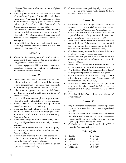religious? *That it is a patriotic exercise, not a religious one (420-421)*

- 8. Judge Roy Moore has twice served as chief justice of the Alabama Supreme Court and has twice been suspended. What were the two religious freedom issues involved? *A display of the Ten Commandments and his refusal to enforce the U.S. Supreme Court's decision allowing same-sex marriage (421)*
- 9. The Supreme Court ruled that Bob Jones University was not entitled to tax-exempt status because of what policy? *Not admitting students in an interracial marriage or who supported interracial dating and marriage (423)*
- 10. Do you think the Supreme Court erred in any of the rulings mentioned in this lesson? *If so, name one and tell why. Answers will vary.*

### **Lesson 72**

- 1. Make a list of five ways you would work to reform government if you were elected as a senator or Congressman. *Answers will vary.*
- 2. List five things you would like to hear a presidential candidate propose in relation to reforming government. *Answers will vary.*

### **Lesson 73**

- 1. Choose one topic that is important to you and write a draft of an email you would like to send to your congressman or to one of your senators. If your parents approve, send it. *Answers will vary.*
- 2. If the president appointed you to be in his Cabinet, in which department would you like to serve? *Answers will vary.*
- 3. If you could serve as an employee in government, what job would you like to have? *Answers will vary.*
- 4. Write a slogan you could use in a campaign to be elected as mayor. *Answers will vary.*
- 5. If you run for public office, people have to learn about you. Make a list of five things you stand for that you could use in campaign advertising. *Answers will vary.*
- 6. If you decided to join a political party today, which party would you choose to be in and why? *Answers will vary.*
- 7. If you would rather not join a political party, explain why you would rather be an Independent. *Answers will vary.*
- 8. If you were working behind the scenes in a political campaign, what job would you be most comfortable doing? *Answers will vary.*
- 9. List three ways someone could destroy his or her reputation. *Answers will vary.*

10. Write two sentences explaining why it is important for someone who works with people to have wisdom. *Answers will vary.*

### **Lesson 74**

- 1. The lesson lists four things America's founders believed in. List them. *God, personal freedom, the rights and worth of humans, and the rule of law (433)*
- 2. Because our country is not perfect, what is the responsibility of each generation? *To make our nation more of what it can and should be (433)*
- 3. Americans have the freedom to educate children as they think best. Tell one reason you are thankful that your parents have chosen the method they have for your education. *Answers will vary.*
- 4. What is one way you could have a better influence on others for good? *Answers will vary.*
- 5. What is one way you could do a better job of not allowing the world to influence you for evil? *Answers will vary.*
- 6. What is one way you could improve on the way you show respect to leaders? *Answers will vary.*
- 7. Why did Henry David Thoreau refuse to pay taxes? *He was protesting against the Mexican War. (435)*
- 8. What did Jeremiah tell the exiles in Babylon to do in the city in which they lived? *Seek its welfare and pray to the Lord on its behalf. (436)*
- 9. In Matthew 5, Jesus tells us to let our light shine before men for what reason? *So that men may see our good works and glorify our Father who is in heaven (436)*
- 10. Where is a Christian's most important citizenship? *In heaven (436)*

### **Lesson 75**

- 1. Why did Margaret Thatcher say she was in politics? (2 points) Because of the conflict between good and evil (437)
- 2. Answer this question the lesson poses: If people cannot be trusted, why should you trust bureaucrats who get paid the same regardless of what happens to you? (4 points) Answers will vary.
- 3. Which do you prefer: security or freedom? Why? (4 points) Answers will vary.

### **Unit 15 Quiz**

| 1. $d(417)$      | 6. e (433)    |
|------------------|---------------|
| 2. $h(418)$      | 7. $f(435)$   |
| 3. $i(418)$      | 8. $c(436)$   |
| 4. $j(419-420)$  | 9. $g(436)$   |
| 5. a $(420-421)$ | 10. b $(437)$ |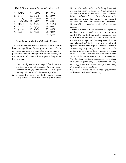### **Third Government Exam — Units 11-15**

| 1. $f(310)$     | 9. c (437)   | 17. 1(396)   |
|-----------------|--------------|--------------|
| 2. $h(413)$     | 10. d (345)  | 18. k (339)  |
| 3. $a(330)$     | 11. $m(313)$ | 19. $t(433)$ |
| 4. $e(420-421)$ | 12. $q(417)$ | 20. $o(362)$ |
| 5. i (387)      | 13. $p(356)$ | 21. $w(361)$ |
| 6. $b(319)$     | 14. r (339)  | 22. u (367)  |
| 7. $g(394)$     | 15. s (376)  | 23. y (376)  |
| 8. j 321        | 16. n (351)  | 24. v (400)  |
|                 |              | 25. $x(436)$ |

### **Questions on** *God and Ronald Reagan*

Answers to the first three questions should total at least one page. None of these questions involve "right or wrong" answers. Our suggested answers here give possible themes and main points for their answers, but the student should have written at greater length than these answers.

- 1. How would you describe Reagan's faith? *Heartfelt, practical, the result of conviction, firm but loving, dependent on prayer, confident that God has a plan, wanting to do God's will; other answers possible.*
- 2. Describe the ways you think Ronald Reagan is a positive example for those in public office.

*He wanted to make a difference in the big issues and not just keep house. He stayed true to his convictions regardless of criticism. He made a clear distinction between good and evil. He had a genuine concern for everyday people and their hurts. He was eloquent in leading the charge for important basic principles. He was willing to stand for freedom. Other answers possible.*

- 3. Reagan saw the Cold War primarily as a spiritual conflict, not a political, economic, or military conflict. Do you think this applies to issues in our world (such as the war on Islamic terrorism, the decline of marriage, and the acceptance of samesex relationships) in the same way--as at root spiritual issues that require spiritual answers? *Answers may vary. Reagan was correct about the conflict with Communism being primarily a spiritual issue. The Islamic terrorists see their conflict with Israel and the West as a spiritual issue; so should we. The other issues mentioned above are at root spiritual issues, with people rejecting God's standards. Probably our struggle with these issues comes from not seeing them as primarily spiritual issues.*
- 4. Student is to write a one-half to one page summary and review of *God and Ronald Reagan.*